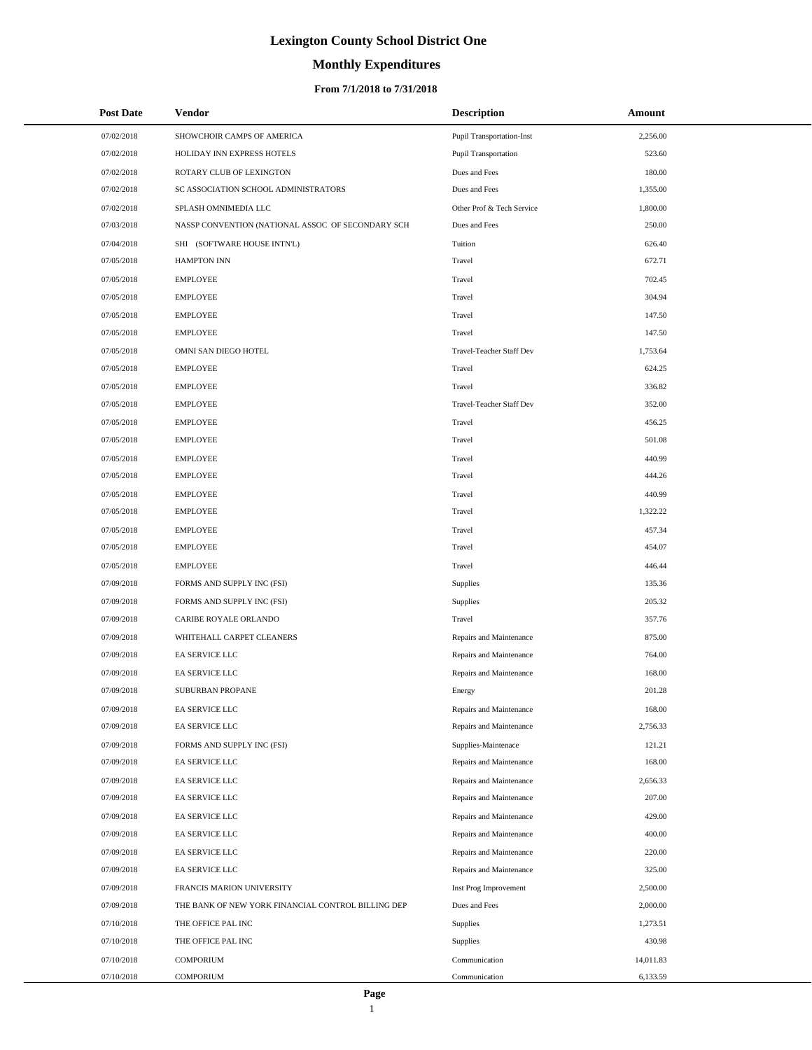# **Monthly Expenditures**

| <b>Post Date</b> | Vendor                                             | <b>Description</b>              | Amount    |  |
|------------------|----------------------------------------------------|---------------------------------|-----------|--|
| 07/02/2018       | SHOWCHOIR CAMPS OF AMERICA                         | Pupil Transportation-Inst       | 2,256.00  |  |
| 07/02/2018       | HOLIDAY INN EXPRESS HOTELS                         | <b>Pupil Transportation</b>     | 523.60    |  |
| 07/02/2018       | ROTARY CLUB OF LEXINGTON                           | Dues and Fees                   | 180.00    |  |
| 07/02/2018       | SC ASSOCIATION SCHOOL ADMINISTRATORS               | Dues and Fees                   | 1,355.00  |  |
| 07/02/2018       | SPLASH OMNIMEDIA LLC                               | Other Prof & Tech Service       | 1,800.00  |  |
| 07/03/2018       | NASSP CONVENTION (NATIONAL ASSOC OF SECONDARY SCH  | Dues and Fees                   | 250.00    |  |
| 07/04/2018       | SHI (SOFTWARE HOUSE INTN'L)                        | Tuition                         | 626.40    |  |
| 07/05/2018       | <b>HAMPTON INN</b>                                 | Travel                          | 672.71    |  |
| 07/05/2018       | <b>EMPLOYEE</b>                                    | Travel                          | 702.45    |  |
| 07/05/2018       | <b>EMPLOYEE</b>                                    | Travel                          | 304.94    |  |
| 07/05/2018       | <b>EMPLOYEE</b>                                    | Travel                          | 147.50    |  |
| 07/05/2018       | <b>EMPLOYEE</b>                                    | Travel                          | 147.50    |  |
| 07/05/2018       | OMNI SAN DIEGO HOTEL                               | Travel-Teacher Staff Dev        | 1,753.64  |  |
| 07/05/2018       | <b>EMPLOYEE</b>                                    | Travel                          | 624.25    |  |
| 07/05/2018       | <b>EMPLOYEE</b>                                    | Travel                          | 336.82    |  |
| 07/05/2018       | <b>EMPLOYEE</b>                                    | <b>Travel-Teacher Staff Dev</b> | 352.00    |  |
| 07/05/2018       | <b>EMPLOYEE</b>                                    | Travel                          | 456.25    |  |
| 07/05/2018       | <b>EMPLOYEE</b>                                    | Travel                          | 501.08    |  |
| 07/05/2018       | <b>EMPLOYEE</b>                                    | Travel                          | 440.99    |  |
| 07/05/2018       | <b>EMPLOYEE</b>                                    | Travel                          | 444.26    |  |
| 07/05/2018       | <b>EMPLOYEE</b>                                    | Travel                          | 440.99    |  |
| 07/05/2018       | <b>EMPLOYEE</b>                                    | Travel                          | 1,322.22  |  |
| 07/05/2018       | <b>EMPLOYEE</b>                                    | Travel                          | 457.34    |  |
| 07/05/2018       | <b>EMPLOYEE</b>                                    | Travel                          | 454.07    |  |
| 07/05/2018       | <b>EMPLOYEE</b>                                    | Travel                          | 446.44    |  |
| 07/09/2018       | FORMS AND SUPPLY INC (FSI)                         | Supplies                        | 135.36    |  |
| 07/09/2018       | FORMS AND SUPPLY INC (FSI)                         | Supplies                        | 205.32    |  |
| 07/09/2018       | CARIBE ROYALE ORLANDO                              | Travel                          | 357.76    |  |
| 07/09/2018       | WHITEHALL CARPET CLEANERS                          | Repairs and Maintenance         | 875.00    |  |
| 07/09/2018       | EA SERVICE LLC                                     | Repairs and Maintenance         | 764.00    |  |
| 07/09/2018       | EA SERVICE LLC                                     | Repairs and Maintenance         | 168.00    |  |
| 07/09/2018       | SUBURBAN PROPANE                                   | Energy                          | 201.28    |  |
| 07/09/2018       | EA SERVICE LLC                                     | Repairs and Maintenance         | 168.00    |  |
| 07/09/2018       | EA SERVICE LLC                                     | Repairs and Maintenance         | 2,756.33  |  |
| 07/09/2018       | FORMS AND SUPPLY INC (FSI)                         | Supplies-Maintenace             | 121.21    |  |
| 07/09/2018       | EA SERVICE LLC                                     | Repairs and Maintenance         | 168.00    |  |
| 07/09/2018       | EA SERVICE LLC                                     | Repairs and Maintenance         | 2,656.33  |  |
| 07/09/2018       | EA SERVICE LLC                                     | Repairs and Maintenance         | 207.00    |  |
| 07/09/2018       | EA SERVICE LLC                                     | Repairs and Maintenance         | 429.00    |  |
| 07/09/2018       | EA SERVICE LLC                                     | Repairs and Maintenance         | 400.00    |  |
| 07/09/2018       | EA SERVICE LLC                                     | Repairs and Maintenance         | 220.00    |  |
| 07/09/2018       | EA SERVICE LLC                                     | Repairs and Maintenance         | 325.00    |  |
| 07/09/2018       | FRANCIS MARION UNIVERSITY                          | Inst Prog Improvement           | 2,500.00  |  |
| 07/09/2018       | THE BANK OF NEW YORK FINANCIAL CONTROL BILLING DEP | Dues and Fees                   | 2,000.00  |  |
| 07/10/2018       | THE OFFICE PAL INC                                 | Supplies                        | 1,273.51  |  |
| 07/10/2018       | THE OFFICE PAL INC                                 | Supplies                        | 430.98    |  |
| 07/10/2018       | <b>COMPORIUM</b>                                   | Communication                   | 14,011.83 |  |
| 07/10/2018       | <b>COMPORIUM</b>                                   | Communication                   | 6,133.59  |  |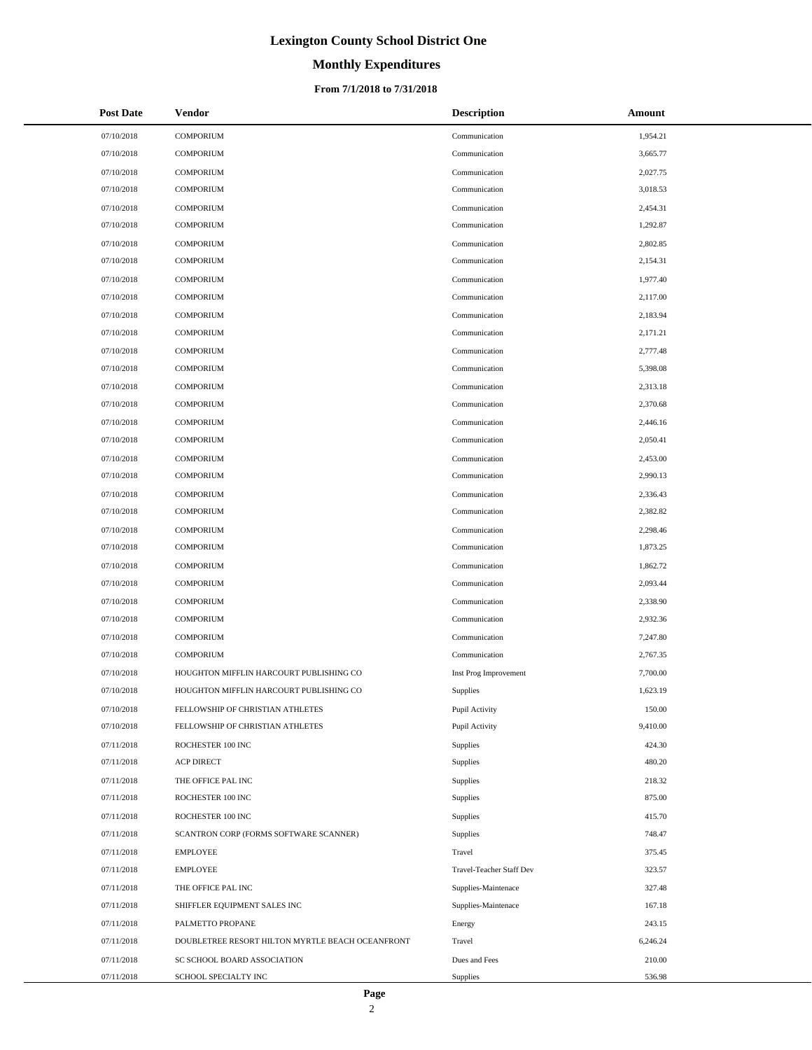# **Monthly Expenditures**

#### **From 7/1/2018 to 7/31/2018**

| <b>Post Date</b> | Vendor                                           | <b>Description</b>       | Amount   |
|------------------|--------------------------------------------------|--------------------------|----------|
| 07/10/2018       | <b>COMPORIUM</b>                                 | Communication            | 1,954.21 |
| 07/10/2018       | <b>COMPORIUM</b>                                 | Communication            | 3,665.77 |
| 07/10/2018       | <b>COMPORIUM</b>                                 | Communication            | 2,027.75 |
| 07/10/2018       | <b>COMPORIUM</b>                                 | Communication            | 3,018.53 |
| 07/10/2018       | <b>COMPORIUM</b>                                 | Communication            | 2,454.31 |
| 07/10/2018       | <b>COMPORIUM</b>                                 | Communication            | 1,292.87 |
| 07/10/2018       | <b>COMPORIUM</b>                                 | Communication            | 2,802.85 |
| 07/10/2018       | <b>COMPORIUM</b>                                 | Communication            | 2,154.31 |
| 07/10/2018       | <b>COMPORIUM</b>                                 | Communication            | 1,977.40 |
| 07/10/2018       | <b>COMPORIUM</b>                                 | Communication            | 2,117.00 |
| 07/10/2018       | <b>COMPORIUM</b>                                 | Communication            | 2,183.94 |
| 07/10/2018       | <b>COMPORIUM</b>                                 | Communication            | 2,171.21 |
| 07/10/2018       | <b>COMPORIUM</b>                                 | Communication            | 2,777.48 |
| 07/10/2018       | <b>COMPORIUM</b>                                 | Communication            | 5,398.08 |
| 07/10/2018       | <b>COMPORIUM</b>                                 | Communication            | 2,313.18 |
| 07/10/2018       | <b>COMPORIUM</b>                                 | Communication            | 2,370.68 |
| 07/10/2018       | <b>COMPORIUM</b>                                 | Communication            | 2,446.16 |
| 07/10/2018       | <b>COMPORIUM</b>                                 | Communication            | 2,050.41 |
| 07/10/2018       | <b>COMPORIUM</b>                                 | Communication            | 2,453.00 |
| 07/10/2018       | <b>COMPORIUM</b>                                 | Communication            | 2,990.13 |
| 07/10/2018       | <b>COMPORIUM</b>                                 | Communication            | 2,336.43 |
| 07/10/2018       | <b>COMPORIUM</b>                                 | Communication            | 2,382.82 |
| 07/10/2018       | <b>COMPORIUM</b>                                 | Communication            | 2,298.46 |
| 07/10/2018       | <b>COMPORIUM</b>                                 | Communication            | 1,873.25 |
| 07/10/2018       | <b>COMPORIUM</b>                                 | Communication            | 1,862.72 |
| 07/10/2018       | <b>COMPORIUM</b>                                 | Communication            | 2,093.44 |
| 07/10/2018       | <b>COMPORIUM</b>                                 | Communication            | 2,338.90 |
| 07/10/2018       | <b>COMPORIUM</b>                                 | Communication            | 2,932.36 |
| 07/10/2018       | <b>COMPORIUM</b>                                 | Communication            | 7,247.80 |
| 07/10/2018       | <b>COMPORIUM</b>                                 | Communication            | 2,767.35 |
| 07/10/2018       | HOUGHTON MIFFLIN HARCOURT PUBLISHING CO          | Inst Prog Improvement    | 7,700.00 |
| 07/10/2018       | HOUGHTON MIFFLIN HARCOURT PUBLISHING CO          | <b>Supplies</b>          | 1,623.19 |
| 07/10/2018       | FELLOWSHIP OF CHRISTIAN ATHLETES                 | Pupil Activity           | 150.00   |
| 07/10/2018       | FELLOWSHIP OF CHRISTIAN ATHLETES                 | Pupil Activity           | 9,410.00 |
| 07/11/2018       | ROCHESTER 100 INC                                | Supplies                 | 424.30   |
| 07/11/2018       | <b>ACP DIRECT</b>                                | Supplies                 | 480.20   |
| 07/11/2018       | THE OFFICE PAL INC                               | Supplies                 | 218.32   |
| 07/11/2018       | ROCHESTER 100 INC                                | Supplies                 | 875.00   |
| 07/11/2018       | ROCHESTER 100 INC                                | Supplies                 | 415.70   |
| 07/11/2018       | SCANTRON CORP (FORMS SOFTWARE SCANNER)           | Supplies                 | 748.47   |
| 07/11/2018       | <b>EMPLOYEE</b>                                  | Travel                   | 375.45   |
| 07/11/2018       | <b>EMPLOYEE</b>                                  | Travel-Teacher Staff Dev | 323.57   |
| 07/11/2018       | THE OFFICE PAL INC                               | Supplies-Maintenace      | 327.48   |
| 07/11/2018       | SHIFFLER EQUIPMENT SALES INC                     | Supplies-Maintenace      | 167.18   |
| 07/11/2018       | PALMETTO PROPANE                                 | Energy                   | 243.15   |
| 07/11/2018       | DOUBLETREE RESORT HILTON MYRTLE BEACH OCEANFRONT | Travel                   | 6,246.24 |
| 07/11/2018       | SC SCHOOL BOARD ASSOCIATION                      | Dues and Fees            | 210.00   |
| 07/11/2018       | SCHOOL SPECIALTY INC                             | Supplies                 | 536.98   |

 $\overline{a}$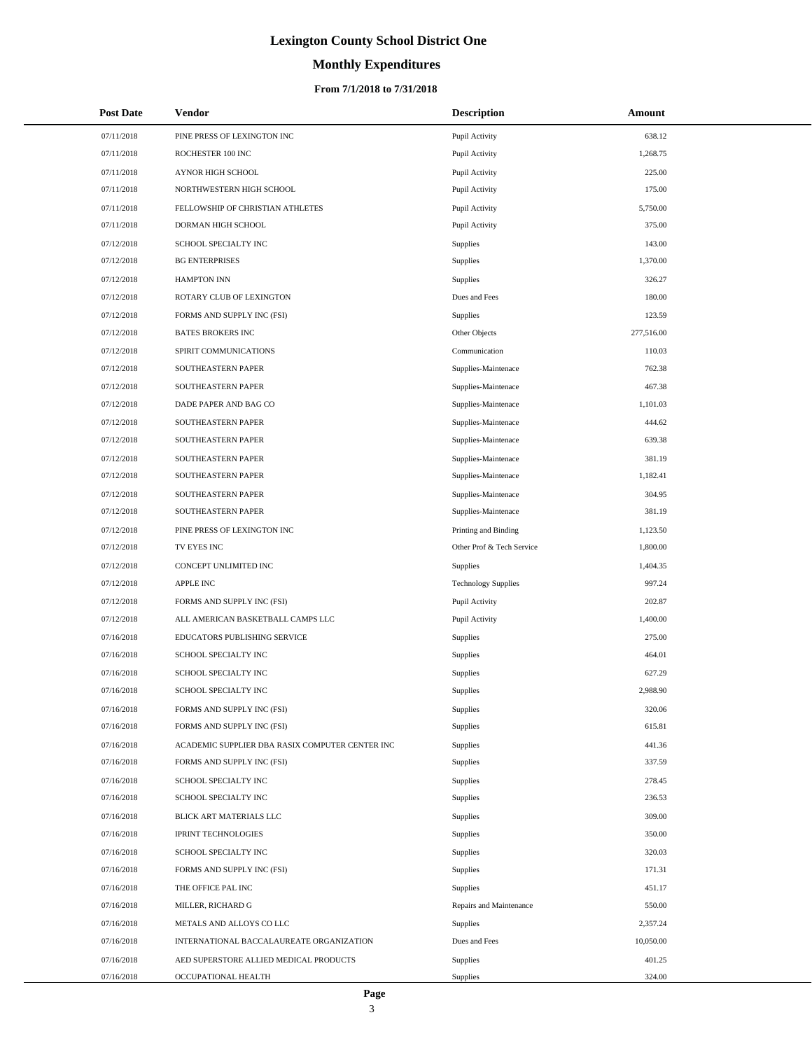# **Monthly Expenditures**

#### **From 7/1/2018 to 7/31/2018**

| <b>Post Date</b> | Vendor                                          | <b>Description</b>         | Amount     |
|------------------|-------------------------------------------------|----------------------------|------------|
| 07/11/2018       | PINE PRESS OF LEXINGTON INC                     | Pupil Activity             | 638.12     |
| 07/11/2018       | ROCHESTER 100 INC                               | Pupil Activity             | 1,268.75   |
| 07/11/2018       | AYNOR HIGH SCHOOL                               | Pupil Activity             | 225.00     |
| 07/11/2018       | NORTHWESTERN HIGH SCHOOL                        | Pupil Activity             | 175.00     |
| 07/11/2018       | FELLOWSHIP OF CHRISTIAN ATHLETES                | Pupil Activity             | 5,750.00   |
| 07/11/2018       | DORMAN HIGH SCHOOL                              | Pupil Activity             | 375.00     |
| 07/12/2018       | SCHOOL SPECIALTY INC                            | Supplies                   | 143.00     |
| 07/12/2018       | <b>BG ENTERPRISES</b>                           | Supplies                   | 1,370.00   |
| 07/12/2018       | <b>HAMPTON INN</b>                              | Supplies                   | 326.27     |
| 07/12/2018       | ROTARY CLUB OF LEXINGTON                        | Dues and Fees              | 180.00     |
| 07/12/2018       | FORMS AND SUPPLY INC (FSI)                      | Supplies                   | 123.59     |
| 07/12/2018       | <b>BATES BROKERS INC</b>                        | Other Objects              | 277,516.00 |
| 07/12/2018       | SPIRIT COMMUNICATIONS                           | Communication              | 110.03     |
| 07/12/2018       | SOUTHEASTERN PAPER                              | Supplies-Maintenace        | 762.38     |
| 07/12/2018       | SOUTHEASTERN PAPER                              | Supplies-Maintenace        | 467.38     |
| 07/12/2018       | DADE PAPER AND BAG CO                           | Supplies-Maintenace        | 1,101.03   |
| 07/12/2018       | SOUTHEASTERN PAPER                              | Supplies-Maintenace        | 444.62     |
| 07/12/2018       | SOUTHEASTERN PAPER                              | Supplies-Maintenace        | 639.38     |
| 07/12/2018       | SOUTHEASTERN PAPER                              | Supplies-Maintenace        | 381.19     |
| 07/12/2018       | <b>SOUTHEASTERN PAPER</b>                       | Supplies-Maintenace        | 1,182.41   |
| 07/12/2018       | SOUTHEASTERN PAPER                              | Supplies-Maintenace        | 304.95     |
| 07/12/2018       | SOUTHEASTERN PAPER                              | Supplies-Maintenace        | 381.19     |
| 07/12/2018       | PINE PRESS OF LEXINGTON INC                     | Printing and Binding       | 1,123.50   |
| 07/12/2018       | TV EYES INC                                     | Other Prof & Tech Service  | 1,800.00   |
| 07/12/2018       | CONCEPT UNLIMITED INC                           | Supplies                   | 1,404.35   |
| 07/12/2018       | <b>APPLE INC</b>                                | <b>Technology Supplies</b> | 997.24     |
| 07/12/2018       | FORMS AND SUPPLY INC (FSI)                      | Pupil Activity             | 202.87     |
| 07/12/2018       | ALL AMERICAN BASKETBALL CAMPS LLC               | Pupil Activity             | 1,400.00   |
| 07/16/2018       | EDUCATORS PUBLISHING SERVICE                    | Supplies                   | 275.00     |
| 07/16/2018       | SCHOOL SPECIALTY INC                            | Supplies                   | 464.01     |
| 07/16/2018       | SCHOOL SPECIALTY INC                            | Supplies                   | 627.29     |
| 07/16/2018       | <b>SCHOOL SPECIALTY INC</b>                     | Supplies                   | 2,988.90   |
| 07/16/2018       | FORMS AND SUPPLY INC (FSI)                      | Supplies                   | 320.06     |
| 07/16/2018       | FORMS AND SUPPLY INC (FSI)                      | Supplies                   | 615.81     |
| 07/16/2018       | ACADEMIC SUPPLIER DBA RASIX COMPUTER CENTER INC | Supplies                   | 441.36     |
| 07/16/2018       | FORMS AND SUPPLY INC (FSI)                      | Supplies                   | 337.59     |
| 07/16/2018       | SCHOOL SPECIALTY INC                            | Supplies                   | 278.45     |
| 07/16/2018       | SCHOOL SPECIALTY INC                            | Supplies                   | 236.53     |
| 07/16/2018       | BLICK ART MATERIALS LLC                         | Supplies                   | 309.00     |
| 07/16/2018       | <b>IPRINT TECHNOLOGIES</b>                      | Supplies                   | 350.00     |
| 07/16/2018       | SCHOOL SPECIALTY INC                            | Supplies                   | 320.03     |
| 07/16/2018       | FORMS AND SUPPLY INC (FSI)                      | Supplies                   | 171.31     |
| 07/16/2018       | THE OFFICE PAL INC                              | Supplies                   | 451.17     |
| 07/16/2018       | MILLER, RICHARD G                               | Repairs and Maintenance    | 550.00     |
| 07/16/2018       | METALS AND ALLOYS CO LLC                        | Supplies                   | 2,357.24   |
| 07/16/2018       | INTERNATIONAL BACCALAUREATE ORGANIZATION        | Dues and Fees              | 10,050.00  |
| 07/16/2018       | AED SUPERSTORE ALLIED MEDICAL PRODUCTS          | Supplies                   | 401.25     |
| 07/16/2018       | OCCUPATIONAL HEALTH                             | Supplies                   | 324.00     |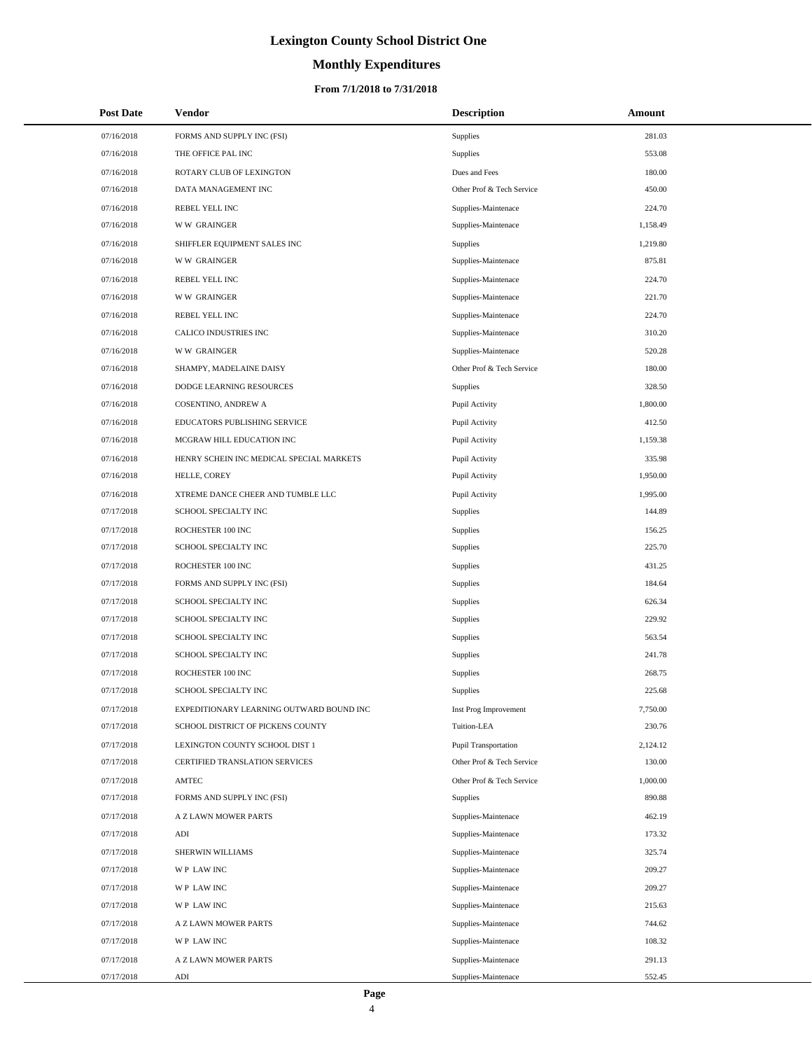# **Monthly Expenditures**

| <b>Post Date</b> | Vendor                                   | <b>Description</b>          | Amount   |
|------------------|------------------------------------------|-----------------------------|----------|
| 07/16/2018       | FORMS AND SUPPLY INC (FSI)               | Supplies                    | 281.03   |
| 07/16/2018       | THE OFFICE PAL INC                       | Supplies                    | 553.08   |
| 07/16/2018       | ROTARY CLUB OF LEXINGTON                 | Dues and Fees               | 180.00   |
| 07/16/2018       | DATA MANAGEMENT INC                      | Other Prof & Tech Service   | 450.00   |
| 07/16/2018       | REBEL YELL INC                           | Supplies-Maintenace         | 224.70   |
| 07/16/2018       | <b>WW GRAINGER</b>                       | Supplies-Maintenace         | 1,158.49 |
| 07/16/2018       | SHIFFLER EQUIPMENT SALES INC             | Supplies                    | 1,219.80 |
| 07/16/2018       | <b>WW GRAINGER</b>                       | Supplies-Maintenace         | 875.81   |
| 07/16/2018       | REBEL YELL INC                           | Supplies-Maintenace         | 224.70   |
| 07/16/2018       | <b>WW GRAINGER</b>                       | Supplies-Maintenace         | 221.70   |
| 07/16/2018       | REBEL YELL INC                           | Supplies-Maintenace         | 224.70   |
| 07/16/2018       | CALICO INDUSTRIES INC                    | Supplies-Maintenace         | 310.20   |
| 07/16/2018       | <b>WW GRAINGER</b>                       | Supplies-Maintenace         | 520.28   |
| 07/16/2018       | SHAMPY, MADELAINE DAISY                  | Other Prof & Tech Service   | 180.00   |
| 07/16/2018       | DODGE LEARNING RESOURCES                 | Supplies                    | 328.50   |
| 07/16/2018       | COSENTINO, ANDREW A                      | Pupil Activity              | 1,800.00 |
| 07/16/2018       | EDUCATORS PUBLISHING SERVICE             | Pupil Activity              | 412.50   |
| 07/16/2018       | MCGRAW HILL EDUCATION INC                | Pupil Activity              | 1,159.38 |
| 07/16/2018       | HENRY SCHEIN INC MEDICAL SPECIAL MARKETS | Pupil Activity              | 335.98   |
| 07/16/2018       | HELLE, COREY                             | Pupil Activity              | 1,950.00 |
| 07/16/2018       | XTREME DANCE CHEER AND TUMBLE LLC        | Pupil Activity              | 1,995.00 |
| 07/17/2018       | SCHOOL SPECIALTY INC                     | Supplies                    | 144.89   |
| 07/17/2018       | ROCHESTER 100 INC                        | Supplies                    | 156.25   |
| 07/17/2018       | SCHOOL SPECIALTY INC                     | Supplies                    | 225.70   |
| 07/17/2018       | ROCHESTER 100 INC                        | Supplies                    | 431.25   |
| 07/17/2018       | FORMS AND SUPPLY INC (FSI)               | Supplies                    | 184.64   |
| 07/17/2018       | SCHOOL SPECIALTY INC                     | Supplies                    | 626.34   |
| 07/17/2018       | SCHOOL SPECIALTY INC                     | Supplies                    | 229.92   |
| 07/17/2018       | SCHOOL SPECIALTY INC                     | Supplies                    | 563.54   |
| 07/17/2018       | SCHOOL SPECIALTY INC                     | Supplies                    | 241.78   |
| 07/17/2018       | ROCHESTER 100 INC                        | Supplies                    | 268.75   |
| 07/17/2018       | SCHOOL SPECIALTY INC                     | <b>Supplies</b>             | 225.68   |
| 07/17/2018       | EXPEDITIONARY LEARNING OUTWARD BOUND INC | Inst Prog Improvement       | 7,750.00 |
| 07/17/2018       | SCHOOL DISTRICT OF PICKENS COUNTY        | Tuition-LEA                 | 230.76   |
| 07/17/2018       | LEXINGTON COUNTY SCHOOL DIST 1           | <b>Pupil Transportation</b> | 2,124.12 |
| 07/17/2018       | CERTIFIED TRANSLATION SERVICES           | Other Prof & Tech Service   | 130.00   |
| 07/17/2018       | AMTEC                                    | Other Prof & Tech Service   | 1,000.00 |
| 07/17/2018       | FORMS AND SUPPLY INC (FSI)               | Supplies                    | 890.88   |
| 07/17/2018       | A Z LAWN MOWER PARTS                     | Supplies-Maintenace         | 462.19   |
| 07/17/2018       | $\mathbf{ADI}$                           | Supplies-Maintenace         | 173.32   |
| 07/17/2018       | SHERWIN WILLIAMS                         | Supplies-Maintenace         | 325.74   |
| 07/17/2018       | WP LAW INC                               | Supplies-Maintenace         | 209.27   |
| 07/17/2018       | WP LAW INC                               | Supplies-Maintenace         | 209.27   |
| 07/17/2018       | WP LAW INC                               | Supplies-Maintenace         | 215.63   |
| 07/17/2018       | A Z LAWN MOWER PARTS                     | Supplies-Maintenace         | 744.62   |
| 07/17/2018       | WP LAW INC                               | Supplies-Maintenace         | 108.32   |
| 07/17/2018       | A Z LAWN MOWER PARTS                     | Supplies-Maintenace         | 291.13   |
| 07/17/2018       | ADI                                      | Supplies-Maintenace         | 552.45   |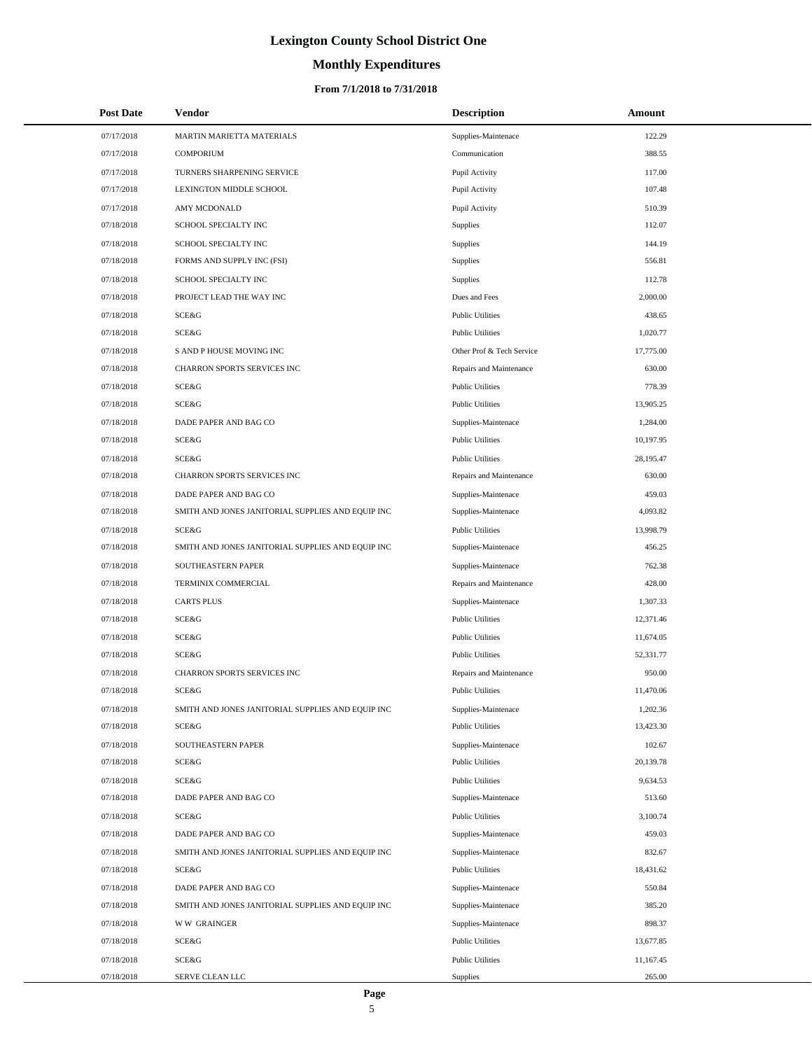# **Monthly Expenditures**

#### **From 7/1/2018 to 7/31/2018**

| <b>Post Date</b> | Vendor                                            | <b>Description</b>        | Amount    |
|------------------|---------------------------------------------------|---------------------------|-----------|
| 07/17/2018       | MARTIN MARIETTA MATERIALS                         | Supplies-Maintenace       | 122.29    |
| 07/17/2018       | <b>COMPORIUM</b>                                  | Communication             | 388.55    |
| 07/17/2018       | TURNERS SHARPENING SERVICE                        | Pupil Activity            | 117.00    |
| 07/17/2018       | LEXINGTON MIDDLE SCHOOL                           | Pupil Activity            | 107.48    |
| 07/17/2018       | <b>AMY MCDONALD</b>                               | Pupil Activity            | 510.39    |
| 07/18/2018       | SCHOOL SPECIALTY INC                              | Supplies                  | 112.07    |
| 07/18/2018       | SCHOOL SPECIALTY INC                              | Supplies                  | 144.19    |
| 07/18/2018       | FORMS AND SUPPLY INC (FSI)                        | Supplies                  | 556.81    |
| 07/18/2018       | SCHOOL SPECIALTY INC                              | Supplies                  | 112.78    |
| 07/18/2018       | PROJECT LEAD THE WAY INC                          | Dues and Fees             | 2,000.00  |
| 07/18/2018       | SCE&G                                             | <b>Public Utilities</b>   | 438.65    |
| 07/18/2018       | <b>SCE&amp;G</b>                                  | <b>Public Utilities</b>   | 1,020.77  |
| 07/18/2018       | S AND P HOUSE MOVING INC                          | Other Prof & Tech Service | 17,775.00 |
| 07/18/2018       | CHARRON SPORTS SERVICES INC                       | Repairs and Maintenance   | 630.00    |
| 07/18/2018       | <b>SCE&amp;G</b>                                  | <b>Public Utilities</b>   | 778.39    |
| 07/18/2018       | <b>SCE&amp;G</b>                                  | <b>Public Utilities</b>   | 13,905.25 |
| 07/18/2018       | DADE PAPER AND BAG CO                             | Supplies-Maintenace       | 1,284.00  |
| 07/18/2018       | SCE&G                                             | <b>Public Utilities</b>   | 10,197.95 |
| 07/18/2018       | SCE&G                                             | <b>Public Utilities</b>   | 28,195.47 |
| 07/18/2018       | CHARRON SPORTS SERVICES INC                       | Repairs and Maintenance   | 630.00    |
| 07/18/2018       | DADE PAPER AND BAG CO                             | Supplies-Maintenace       | 459.03    |
| 07/18/2018       | SMITH AND JONES JANITORIAL SUPPLIES AND EQUIP INC | Supplies-Maintenace       | 4,093.82  |
| 07/18/2018       | <b>SCE&amp;G</b>                                  | <b>Public Utilities</b>   | 13,998.79 |
| 07/18/2018       | SMITH AND JONES JANITORIAL SUPPLIES AND EQUIP INC | Supplies-Maintenace       | 456.25    |
| 07/18/2018       | SOUTHEASTERN PAPER                                | Supplies-Maintenace       | 762.38    |
| 07/18/2018       | TERMINIX COMMERCIAL                               | Repairs and Maintenance   | 428.00    |
| 07/18/2018       | <b>CARTS PLUS</b>                                 | Supplies-Maintenace       | 1,307.33  |
| 07/18/2018       | SCE&G                                             | <b>Public Utilities</b>   | 12,371.46 |
| 07/18/2018       | SCE&G                                             | <b>Public Utilities</b>   | 11,674.05 |
| 07/18/2018       | SCE&G                                             | <b>Public Utilities</b>   | 52,331.77 |
| 07/18/2018       | <b>CHARRON SPORTS SERVICES INC</b>                | Repairs and Maintenance   | 950.00    |
| 07/18/2018       | <b>SCE&amp;G</b>                                  | <b>Public Utilities</b>   | 11,470.06 |
| 07/18/2018       | SMITH AND JONES JANITORIAL SUPPLIES AND EQUIP INC | Supplies-Maintenace       | 1,202.36  |
| 07/18/2018       | SCE&G                                             | <b>Public Utilities</b>   | 13,423.30 |
| 07/18/2018       | SOUTHEASTERN PAPER                                | Supplies-Maintenace       | 102.67    |
| 07/18/2018       | SCE&G                                             | <b>Public Utilities</b>   | 20,139.78 |
| 07/18/2018       | SCE&G                                             | <b>Public Utilities</b>   | 9,634.53  |
| 07/18/2018       | DADE PAPER AND BAG CO                             | Supplies-Maintenace       | 513.60    |
| 07/18/2018       | SCE&G                                             | <b>Public Utilities</b>   | 3,100.74  |
| 07/18/2018       | DADE PAPER AND BAG CO                             | Supplies-Maintenace       | 459.03    |
| 07/18/2018       | SMITH AND JONES JANITORIAL SUPPLIES AND EQUIP INC | Supplies-Maintenace       | 832.67    |
| 07/18/2018       | SCE&G                                             | <b>Public Utilities</b>   | 18,431.62 |
| 07/18/2018       | DADE PAPER AND BAG CO                             | Supplies-Maintenace       | 550.84    |
| 07/18/2018       | SMITH AND JONES JANITORIAL SUPPLIES AND EQUIP INC | Supplies-Maintenace       | 385.20    |
| 07/18/2018       | <b>WW GRAINGER</b>                                | Supplies-Maintenace       | 898.37    |
| 07/18/2018       | SCE&G                                             | <b>Public Utilities</b>   | 13,677.85 |
| 07/18/2018       | SCE&G                                             | <b>Public Utilities</b>   | 11,167.45 |
| 07/18/2018       | SERVE CLEAN LLC                                   | Supplies                  | 265.00    |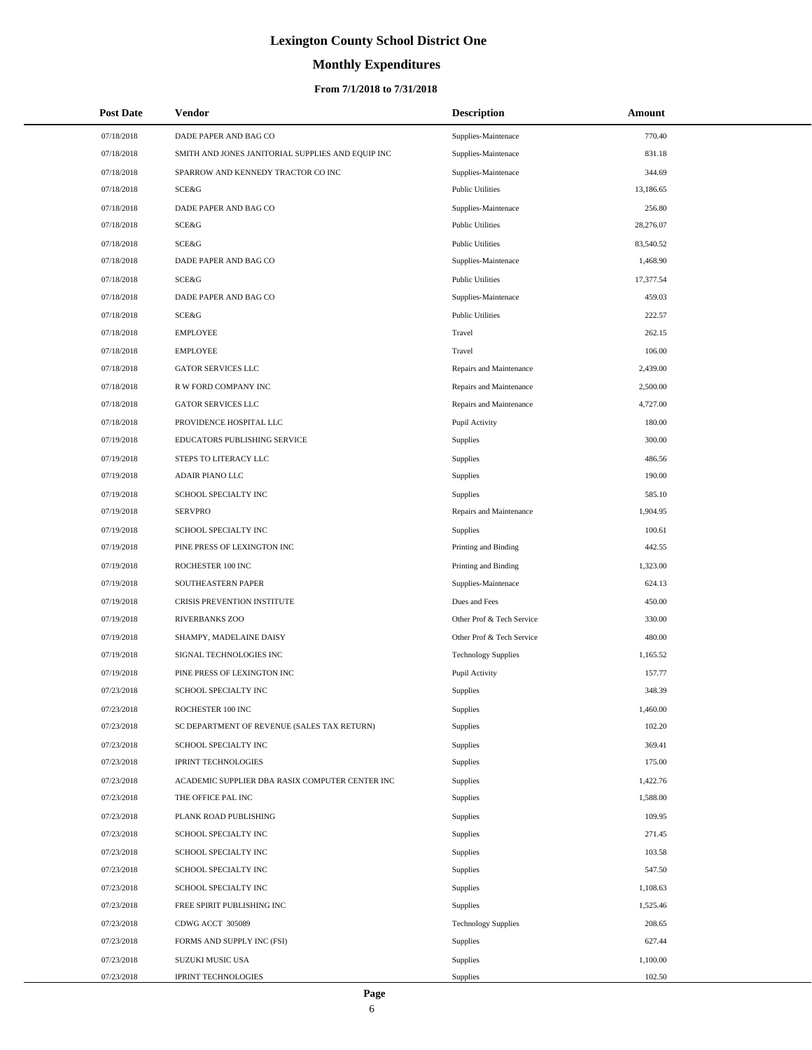# **Monthly Expenditures**

#### **From 7/1/2018 to 7/31/2018**

| <b>Post Date</b> | Vendor                                            | <b>Description</b>         | Amount    |  |
|------------------|---------------------------------------------------|----------------------------|-----------|--|
| 07/18/2018       | DADE PAPER AND BAG CO                             | Supplies-Maintenace        | 770.40    |  |
| 07/18/2018       | SMITH AND JONES JANITORIAL SUPPLIES AND EQUIP INC | Supplies-Maintenace        | 831.18    |  |
| 07/18/2018       | SPARROW AND KENNEDY TRACTOR CO INC                | Supplies-Maintenace        | 344.69    |  |
| 07/18/2018       | <b>SCE&amp;G</b>                                  | <b>Public Utilities</b>    | 13,186.65 |  |
| 07/18/2018       | DADE PAPER AND BAG CO                             | Supplies-Maintenace        | 256.80    |  |
| 07/18/2018       | <b>SCE&amp;G</b>                                  | <b>Public Utilities</b>    | 28,276.07 |  |
| 07/18/2018       | <b>SCE&amp;G</b>                                  | <b>Public Utilities</b>    | 83,540.52 |  |
| 07/18/2018       | DADE PAPER AND BAG CO                             | Supplies-Maintenace        | 1,468.90  |  |
| 07/18/2018       | SCE&G                                             | <b>Public Utilities</b>    | 17,377.54 |  |
| 07/18/2018       | DADE PAPER AND BAG CO                             | Supplies-Maintenace        | 459.03    |  |
| 07/18/2018       | <b>SCE&amp;G</b>                                  | <b>Public Utilities</b>    | 222.57    |  |
| 07/18/2018       | <b>EMPLOYEE</b>                                   | Travel                     | 262.15    |  |
| 07/18/2018       | <b>EMPLOYEE</b>                                   | Travel                     | 106.00    |  |
| 07/18/2018       | GATOR SERVICES LLC                                | Repairs and Maintenance    | 2,439.00  |  |
| 07/18/2018       | R W FORD COMPANY INC                              | Repairs and Maintenance    | 2,500.00  |  |
| 07/18/2018       | <b>GATOR SERVICES LLC</b>                         | Repairs and Maintenance    | 4,727.00  |  |
| 07/18/2018       | PROVIDENCE HOSPITAL LLC                           | Pupil Activity             | 180.00    |  |
| 07/19/2018       | EDUCATORS PUBLISHING SERVICE                      | Supplies                   | 300.00    |  |
| 07/19/2018       | STEPS TO LITERACY LLC                             | Supplies                   | 486.56    |  |
| 07/19/2018       | ADAIR PIANO LLC                                   | Supplies                   | 190.00    |  |
| 07/19/2018       | SCHOOL SPECIALTY INC                              | Supplies                   | 585.10    |  |
| 07/19/2018       | <b>SERVPRO</b>                                    | Repairs and Maintenance    | 1,904.95  |  |
| 07/19/2018       | SCHOOL SPECIALTY INC                              | Supplies                   | 100.61    |  |
| 07/19/2018       | PINE PRESS OF LEXINGTON INC                       | Printing and Binding       | 442.55    |  |
| 07/19/2018       | ROCHESTER 100 INC                                 | Printing and Binding       | 1,323.00  |  |
| 07/19/2018       | SOUTHEASTERN PAPER                                | Supplies-Maintenace        | 624.13    |  |
| 07/19/2018       | CRISIS PREVENTION INSTITUTE                       | Dues and Fees              | 450.00    |  |
| 07/19/2018       | RIVERBANKS ZOO                                    | Other Prof & Tech Service  | 330.00    |  |
| 07/19/2018       | SHAMPY, MADELAINE DAISY                           | Other Prof & Tech Service  | 480.00    |  |
| 07/19/2018       | SIGNAL TECHNOLOGIES INC                           | <b>Technology Supplies</b> | 1,165.52  |  |
| 07/19/2018       | PINE PRESS OF LEXINGTON INC                       | Pupil Activity             | 157.77    |  |
| 07/23/2018       | SCHOOL SPECIALTY INC                              | Supplies                   | 348.39    |  |
| 07/23/2018       | ROCHESTER 100 INC                                 | Supplies                   | 1,460.00  |  |
| 07/23/2018       | SC DEPARTMENT OF REVENUE (SALES TAX RETURN)       | Supplies                   | 102.20    |  |
| 07/23/2018       | SCHOOL SPECIALTY INC                              | Supplies                   | 369.41    |  |
| 07/23/2018       | <b>IPRINT TECHNOLOGIES</b>                        | Supplies                   | 175.00    |  |
| 07/23/2018       | ACADEMIC SUPPLIER DBA RASIX COMPUTER CENTER INC   | Supplies                   | 1,422.76  |  |
| 07/23/2018       | THE OFFICE PAL INC                                | Supplies                   | 1,588.00  |  |
| 07/23/2018       | PLANK ROAD PUBLISHING                             | Supplies                   | 109.95    |  |
| 07/23/2018       | SCHOOL SPECIALTY INC                              | Supplies                   | 271.45    |  |
| 07/23/2018       | SCHOOL SPECIALTY INC                              | Supplies                   | 103.58    |  |
| 07/23/2018       | SCHOOL SPECIALTY INC                              | Supplies                   | 547.50    |  |
| 07/23/2018       | SCHOOL SPECIALTY INC                              | Supplies                   | 1,108.63  |  |
| 07/23/2018       | FREE SPIRIT PUBLISHING INC                        | Supplies                   | 1,525.46  |  |
| 07/23/2018       | CDWG ACCT 305089                                  | <b>Technology Supplies</b> | 208.65    |  |
| 07/23/2018       | FORMS AND SUPPLY INC (FSI)                        | Supplies                   | 627.44    |  |
| 07/23/2018       | SUZUKI MUSIC USA                                  | Supplies                   | 1,100.00  |  |
| 07/23/2018       | <b>IPRINT TECHNOLOGIES</b>                        | Supplies                   | 102.50    |  |

 $\overline{a}$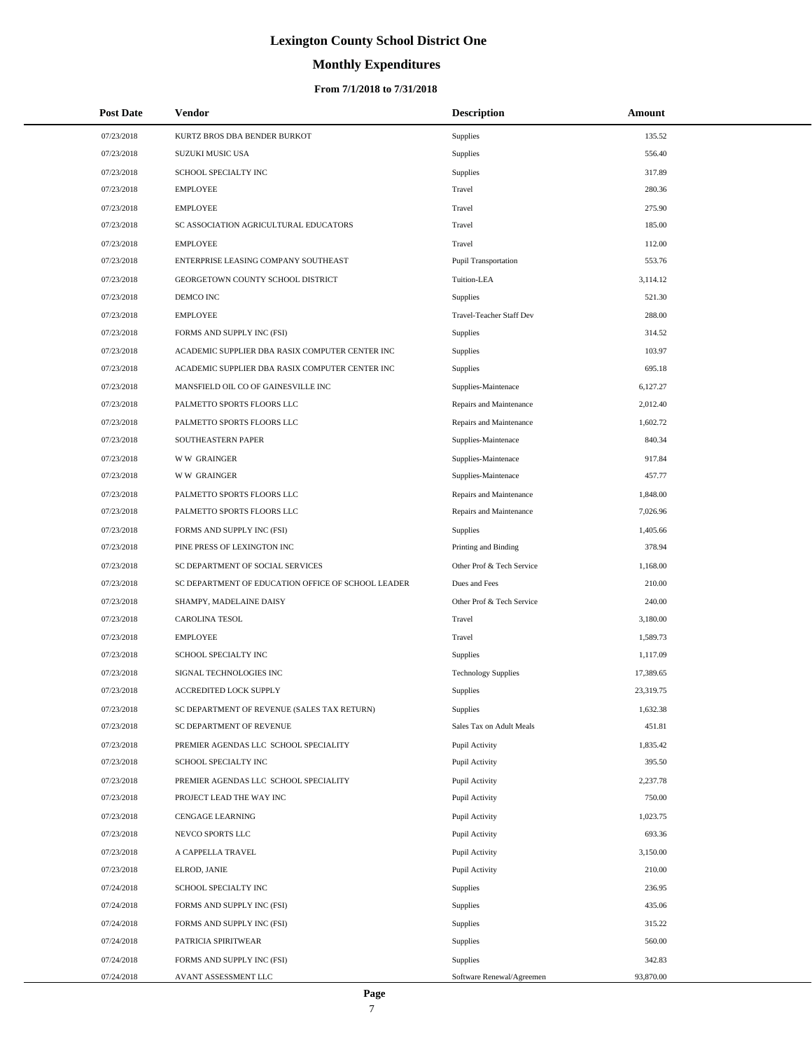# **Monthly Expenditures**

#### **From 7/1/2018 to 7/31/2018**

| <b>Post Date</b> | Vendor                                             | <b>Description</b>          | Amount    |
|------------------|----------------------------------------------------|-----------------------------|-----------|
| 07/23/2018       | KURTZ BROS DBA BENDER BURKOT                       | Supplies                    | 135.52    |
| 07/23/2018       | SUZUKI MUSIC USA                                   | Supplies                    | 556.40    |
| 07/23/2018       | SCHOOL SPECIALTY INC                               | Supplies                    | 317.89    |
| 07/23/2018       | <b>EMPLOYEE</b>                                    | Travel                      | 280.36    |
| 07/23/2018       | <b>EMPLOYEE</b>                                    | Travel                      | 275.90    |
| 07/23/2018       | SC ASSOCIATION AGRICULTURAL EDUCATORS              | Travel                      | 185.00    |
| 07/23/2018       | <b>EMPLOYEE</b>                                    | Travel                      | 112.00    |
| 07/23/2018       | ENTERPRISE LEASING COMPANY SOUTHEAST               | <b>Pupil Transportation</b> | 553.76    |
| 07/23/2018       | GEORGETOWN COUNTY SCHOOL DISTRICT                  | Tuition-LEA                 | 3,114.12  |
| 07/23/2018       | DEMCO INC                                          | Supplies                    | 521.30    |
| 07/23/2018       | <b>EMPLOYEE</b>                                    | Travel-Teacher Staff Dev    | 288.00    |
| 07/23/2018       | FORMS AND SUPPLY INC (FSI)                         | Supplies                    | 314.52    |
| 07/23/2018       | ACADEMIC SUPPLIER DBA RASIX COMPUTER CENTER INC    | Supplies                    | 103.97    |
| 07/23/2018       | ACADEMIC SUPPLIER DBA RASIX COMPUTER CENTER INC    | Supplies                    | 695.18    |
| 07/23/2018       | MANSFIELD OIL CO OF GAINESVILLE INC                | Supplies-Maintenace         | 6,127.27  |
| 07/23/2018       | PALMETTO SPORTS FLOORS LLC                         | Repairs and Maintenance     | 2,012.40  |
| 07/23/2018       | PALMETTO SPORTS FLOORS LLC                         | Repairs and Maintenance     | 1,602.72  |
| 07/23/2018       | SOUTHEASTERN PAPER                                 | Supplies-Maintenace         | 840.34    |
| 07/23/2018       | <b>WW GRAINGER</b>                                 | Supplies-Maintenace         | 917.84    |
| 07/23/2018       | <b>WW GRAINGER</b>                                 | Supplies-Maintenace         | 457.77    |
| 07/23/2018       | PALMETTO SPORTS FLOORS LLC                         | Repairs and Maintenance     | 1,848.00  |
| 07/23/2018       | PALMETTO SPORTS FLOORS LLC                         | Repairs and Maintenance     | 7,026.96  |
| 07/23/2018       | FORMS AND SUPPLY INC (FSI)                         | Supplies                    | 1,405.66  |
| 07/23/2018       | PINE PRESS OF LEXINGTON INC                        | Printing and Binding        | 378.94    |
| 07/23/2018       | SC DEPARTMENT OF SOCIAL SERVICES                   | Other Prof & Tech Service   | 1,168.00  |
| 07/23/2018       | SC DEPARTMENT OF EDUCATION OFFICE OF SCHOOL LEADER | Dues and Fees               | 210.00    |
| 07/23/2018       | SHAMPY, MADELAINE DAISY                            | Other Prof & Tech Service   | 240.00    |
| 07/23/2018       | <b>CAROLINA TESOL</b>                              | Travel                      | 3.180.00  |
| 07/23/2018       | <b>EMPLOYEE</b>                                    | Travel                      | 1,589.73  |
| 07/23/2018       | SCHOOL SPECIALTY INC                               | Supplies                    | 1,117.09  |
| 07/23/2018       | SIGNAL TECHNOLOGIES INC                            | <b>Technology Supplies</b>  | 17,389.65 |
| 07/23/2018       | ACCREDITED LOCK SUPPLY                             | Supplies                    | 23,319.75 |
| 07/23/2018       | SC DEPARTMENT OF REVENUE (SALES TAX RETURN)        | <b>Supplies</b>             | 1,632.38  |
| 07/23/2018       | SC DEPARTMENT OF REVENUE                           | Sales Tax on Adult Meals    | 451.81    |
| 07/23/2018       | PREMIER AGENDAS LLC SCHOOL SPECIALITY              | Pupil Activity              | 1,835.42  |
| 07/23/2018       | SCHOOL SPECIALTY INC                               | Pupil Activity              | 395.50    |
| 07/23/2018       | PREMIER AGENDAS LLC SCHOOL SPECIALITY              | Pupil Activity              | 2,237.78  |
| 07/23/2018       | PROJECT LEAD THE WAY INC                           | Pupil Activity              | 750.00    |
| 07/23/2018       | CENGAGE LEARNING                                   | Pupil Activity              | 1,023.75  |
| 07/23/2018       | NEVCO SPORTS LLC                                   | Pupil Activity              | 693.36    |
| 07/23/2018       | A CAPPELLA TRAVEL                                  | Pupil Activity              | 3,150.00  |
| 07/23/2018       | ELROD, JANIE                                       | Pupil Activity              | 210.00    |
| 07/24/2018       | SCHOOL SPECIALTY INC                               | Supplies                    | 236.95    |
| 07/24/2018       | FORMS AND SUPPLY INC (FSI)                         | Supplies                    | 435.06    |
| 07/24/2018       | FORMS AND SUPPLY INC (FSI)                         | Supplies                    | 315.22    |
| 07/24/2018       | PATRICIA SPIRITWEAR                                | Supplies                    | 560.00    |
| 07/24/2018       | FORMS AND SUPPLY INC (FSI)                         | Supplies                    | 342.83    |
| 07/24/2018       | AVANT ASSESSMENT LLC                               | Software Renewal/Agreemen   | 93,870.00 |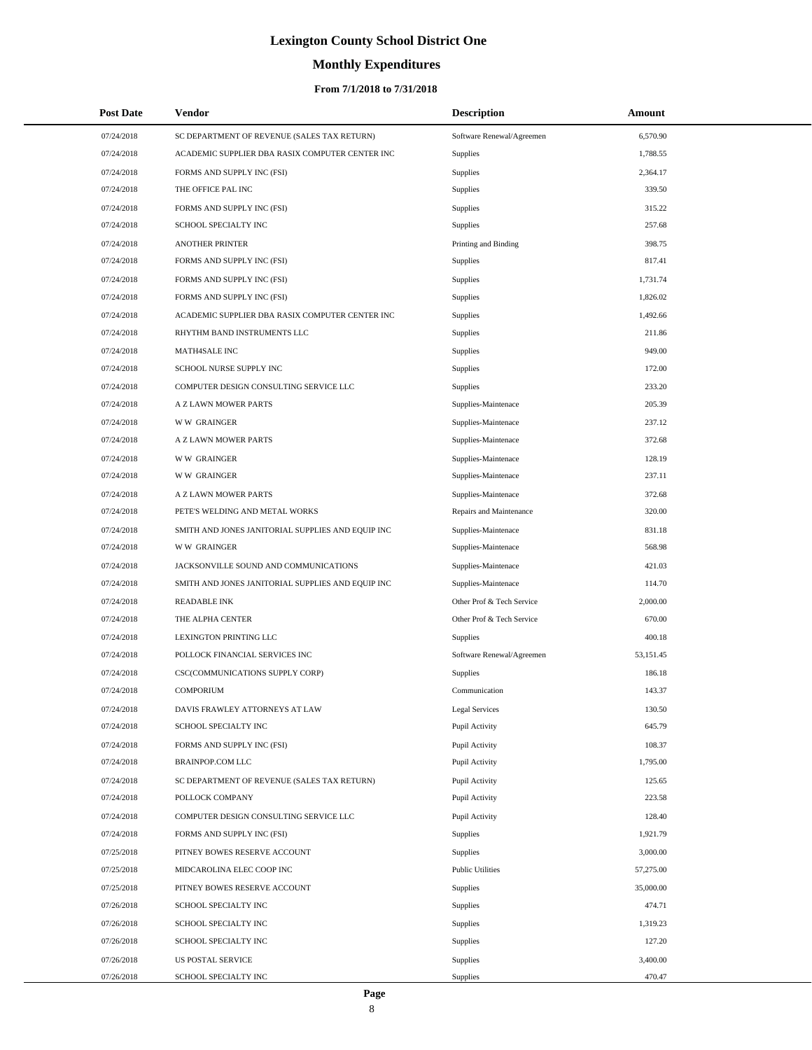# **Monthly Expenditures**

| <b>Post Date</b> | <b>Vendor</b>                                     | <b>Description</b>        | Amount    |  |
|------------------|---------------------------------------------------|---------------------------|-----------|--|
| 07/24/2018       | SC DEPARTMENT OF REVENUE (SALES TAX RETURN)       | Software Renewal/Agreemen | 6,570.90  |  |
| 07/24/2018       | ACADEMIC SUPPLIER DBA RASIX COMPUTER CENTER INC   | Supplies                  | 1,788.55  |  |
| 07/24/2018       | FORMS AND SUPPLY INC (FSI)                        | Supplies                  | 2,364.17  |  |
| 07/24/2018       | THE OFFICE PAL INC                                | Supplies                  | 339.50    |  |
| 07/24/2018       | FORMS AND SUPPLY INC (FSI)                        | Supplies                  | 315.22    |  |
| 07/24/2018       | SCHOOL SPECIALTY INC                              | Supplies                  | 257.68    |  |
| 07/24/2018       | <b>ANOTHER PRINTER</b>                            | Printing and Binding      | 398.75    |  |
| 07/24/2018       | FORMS AND SUPPLY INC (FSI)                        | Supplies                  | 817.41    |  |
| 07/24/2018       | FORMS AND SUPPLY INC (FSI)                        | Supplies                  | 1.731.74  |  |
| 07/24/2018       | FORMS AND SUPPLY INC (FSI)                        | <b>Supplies</b>           | 1,826.02  |  |
| 07/24/2018       | ACADEMIC SUPPLIER DBA RASIX COMPUTER CENTER INC   | Supplies                  | 1,492.66  |  |
| 07/24/2018       | RHYTHM BAND INSTRUMENTS LLC                       | Supplies                  | 211.86    |  |
| 07/24/2018       | <b>MATH4SALE INC</b>                              | <b>Supplies</b>           | 949.00    |  |
| 07/24/2018       | SCHOOL NURSE SUPPLY INC                           | Supplies                  | 172.00    |  |
| 07/24/2018       | COMPUTER DESIGN CONSULTING SERVICE LLC            | Supplies                  | 233.20    |  |
| 07/24/2018       | A Z LAWN MOWER PARTS                              | Supplies-Maintenace       | 205.39    |  |
| 07/24/2018       | <b>WW GRAINGER</b>                                | Supplies-Maintenace       | 237.12    |  |
| 07/24/2018       | A Z LAWN MOWER PARTS                              | Supplies-Maintenace       | 372.68    |  |
| 07/24/2018       | <b>WW GRAINGER</b>                                | Supplies-Maintenace       | 128.19    |  |
| 07/24/2018       | <b>WW GRAINGER</b>                                | Supplies-Maintenace       | 237.11    |  |
| 07/24/2018       | A Z LAWN MOWER PARTS                              | Supplies-Maintenace       | 372.68    |  |
| 07/24/2018       | PETE'S WELDING AND METAL WORKS                    | Repairs and Maintenance   | 320.00    |  |
| 07/24/2018       | SMITH AND JONES JANITORIAL SUPPLIES AND EQUIP INC | Supplies-Maintenace       | 831.18    |  |
| 07/24/2018       | <b>WW GRAINGER</b>                                | Supplies-Maintenace       | 568.98    |  |
| 07/24/2018       | JACKSONVILLE SOUND AND COMMUNICATIONS             | Supplies-Maintenace       | 421.03    |  |
| 07/24/2018       | SMITH AND JONES JANITORIAL SUPPLIES AND EQUIP INC | Supplies-Maintenace       | 114.70    |  |
| 07/24/2018       | <b>READABLE INK</b>                               | Other Prof & Tech Service | 2,000.00  |  |
| 07/24/2018       | THE ALPHA CENTER                                  | Other Prof & Tech Service | 670.00    |  |
| 07/24/2018       | LEXINGTON PRINTING LLC                            | Supplies                  | 400.18    |  |
| 07/24/2018       | POLLOCK FINANCIAL SERVICES INC                    | Software Renewal/Agreemen | 53,151.45 |  |
| 07/24/2018       | CSC(COMMUNICATIONS SUPPLY CORP)                   | <b>Supplies</b>           | 186.18    |  |
| 07/24/2018       | <b>COMPORIUM</b>                                  | Communication             | 143.37    |  |
| 07/24/2018       | DAVIS FRAWLEY ATTORNEYS AT LAW                    | <b>Legal Services</b>     | 130.50    |  |
| 07/24/2018       | SCHOOL SPECIALTY INC                              | Pupil Activity            | 645.79    |  |
| 07/24/2018       | FORMS AND SUPPLY INC (FSI)                        | Pupil Activity            | 108.37    |  |
| 07/24/2018       | BRAINPOP.COM LLC                                  | Pupil Activity            | 1,795.00  |  |
| 07/24/2018       | SC DEPARTMENT OF REVENUE (SALES TAX RETURN)       | Pupil Activity            | 125.65    |  |
| 07/24/2018       | POLLOCK COMPANY                                   | Pupil Activity            | 223.58    |  |
| 07/24/2018       | COMPUTER DESIGN CONSULTING SERVICE LLC            | Pupil Activity            | 128.40    |  |
| 07/24/2018       | FORMS AND SUPPLY INC (FSI)                        | Supplies                  | 1,921.79  |  |
| 07/25/2018       | PITNEY BOWES RESERVE ACCOUNT                      | <b>Supplies</b>           | 3,000.00  |  |
| 07/25/2018       | MIDCAROLINA ELEC COOP INC                         | <b>Public Utilities</b>   | 57,275.00 |  |
| 07/25/2018       | PITNEY BOWES RESERVE ACCOUNT                      | Supplies                  | 35,000.00 |  |
| 07/26/2018       | SCHOOL SPECIALTY INC                              | Supplies                  | 474.71    |  |
| 07/26/2018       | SCHOOL SPECIALTY INC                              | Supplies                  | 1,319.23  |  |
| 07/26/2018       | SCHOOL SPECIALTY INC                              | <b>Supplies</b>           | 127.20    |  |
| 07/26/2018       | <b>US POSTAL SERVICE</b>                          | Supplies                  | 3,400.00  |  |
| 07/26/2018       | SCHOOL SPECIALTY INC                              | Supplies                  | 470.47    |  |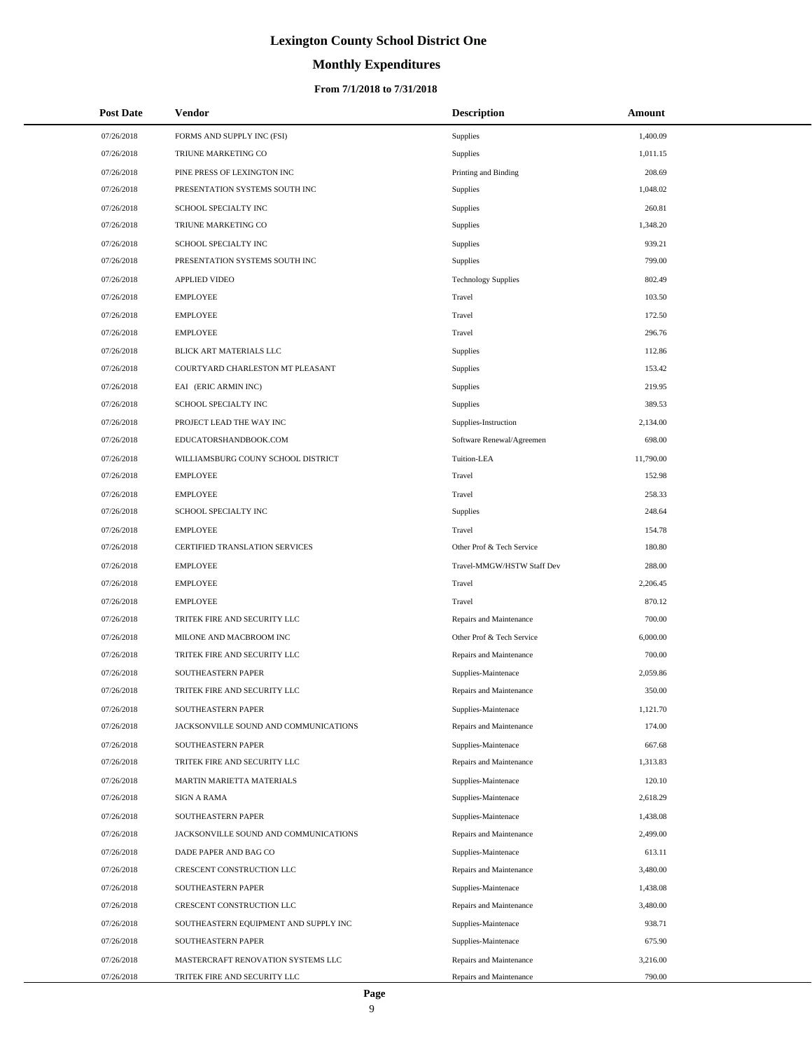# **Monthly Expenditures**

| 07/26/2018<br>FORMS AND SUPPLY INC (FSI)<br>Supplies<br>1,400.09<br>07/26/2018<br>TRIUNE MARKETING CO<br>1,011.15<br>Supplies<br>07/26/2018<br>PINE PRESS OF LEXINGTON INC<br>Printing and Binding<br>208.69<br>1,048.02<br>07/26/2018<br>PRESENTATION SYSTEMS SOUTH INC<br>Supplies<br>07/26/2018<br>SCHOOL SPECIALTY INC<br>Supplies<br>260.81<br>07/26/2018<br>TRIUNE MARKETING CO<br>1,348.20<br>Supplies<br>939.21<br>07/26/2018<br>SCHOOL SPECIALTY INC<br>Supplies<br>PRESENTATION SYSTEMS SOUTH INC<br>799.00<br>07/26/2018<br>Supplies<br>07/26/2018<br><b>APPLIED VIDEO</b><br><b>Technology Supplies</b><br>802.49<br>07/26/2018<br><b>EMPLOYEE</b><br>Travel<br>103.50<br>07/26/2018<br><b>EMPLOYEE</b><br>Travel<br>172.50<br><b>EMPLOYEE</b><br>296.76<br>07/26/2018<br>Travel<br>07/26/2018<br>BLICK ART MATERIALS LLC<br>Supplies<br>112.86<br>07/26/2018<br>COURTYARD CHARLESTON MT PLEASANT<br>153.42<br>Supplies<br>07/26/2018<br>EAI (ERIC ARMIN INC)<br>Supplies<br>219.95<br>SCHOOL SPECIALTY INC<br>389.53<br>07/26/2018<br>Supplies<br>07/26/2018<br>PROJECT LEAD THE WAY INC<br>Supplies-Instruction<br>2,134.00<br>07/26/2018<br>EDUCATORSHANDBOOK.COM<br>Software Renewal/Agreemen<br>698.00<br>07/26/2018<br>WILLIAMSBURG COUNY SCHOOL DISTRICT<br>Tuition-LEA<br>11,790.00<br><b>EMPLOYEE</b><br>Travel<br>152.98<br>07/26/2018<br>07/26/2018<br><b>EMPLOYEE</b><br>Travel<br>258.33<br>07/26/2018<br>SCHOOL SPECIALTY INC<br>248.64<br>Supplies<br>07/26/2018<br><b>EMPLOYEE</b><br>Travel<br>154.78<br><b>CERTIFIED TRANSLATION SERVICES</b><br>Other Prof & Tech Service<br>180.80<br>07/26/2018<br>07/26/2018<br><b>EMPLOYEE</b><br>Travel-MMGW/HSTW Staff Dev<br>288.00<br>07/26/2018<br><b>EMPLOYEE</b><br>Travel<br>2,206.45<br>07/26/2018<br><b>EMPLOYEE</b><br>Travel<br>870.12<br>TRITEK FIRE AND SECURITY LLC<br>700.00<br>07/26/2018<br>Repairs and Maintenance<br>07/26/2018<br>MILONE AND MACBROOM INC<br>Other Prof & Tech Service<br>6,000.00<br>07/26/2018<br>TRITEK FIRE AND SECURITY LLC<br>700.00<br>Repairs and Maintenance<br>07/26/2018<br>SOUTHEASTERN PAPER<br>Supplies-Maintenace<br>2,059.86<br>TRITEK FIRE AND SECURITY LLC<br>350.00<br>07/26/2018<br>Repairs and Maintenance<br>SOUTHEASTERN PAPER<br>Supplies-Maintenace<br>1,121.70<br>07/26/2018<br>07/26/2018<br>JACKSONVILLE SOUND AND COMMUNICATIONS<br>Repairs and Maintenance<br>174.00<br>07/26/2018<br>SOUTHEASTERN PAPER<br>Supplies-Maintenace<br>667.68<br>07/26/2018<br>TRITEK FIRE AND SECURITY LLC<br>Repairs and Maintenance<br>1,313.83<br>07/26/2018<br>MARTIN MARIETTA MATERIALS<br>Supplies-Maintenace<br>120.10<br>07/26/2018<br>SIGN A RAMA<br>Supplies-Maintenace<br>2,618.29<br>Supplies-Maintenace<br>07/26/2018<br>SOUTHEASTERN PAPER<br>1,438.08<br>07/26/2018<br>JACKSONVILLE SOUND AND COMMUNICATIONS<br>Repairs and Maintenance<br>2,499.00<br>07/26/2018<br>DADE PAPER AND BAG CO<br>Supplies-Maintenace<br>613.11<br>3,480.00<br>07/26/2018<br>CRESCENT CONSTRUCTION LLC<br>Repairs and Maintenance<br>07/26/2018<br>SOUTHEASTERN PAPER<br>Supplies-Maintenace<br>1,438.08<br>07/26/2018<br>CRESCENT CONSTRUCTION LLC<br>Repairs and Maintenance<br>3,480.00<br>07/26/2018<br>SOUTHEASTERN EQUIPMENT AND SUPPLY INC<br>Supplies-Maintenace<br>938.71<br>07/26/2018<br>SOUTHEASTERN PAPER<br>Supplies-Maintenace<br>675.90<br>07/26/2018<br>MASTERCRAFT RENOVATION SYSTEMS LLC<br>Repairs and Maintenance<br>3,216.00 | <b>Post Date</b> | Vendor                       | <b>Description</b>      | Amount |
|------------------------------------------------------------------------------------------------------------------------------------------------------------------------------------------------------------------------------------------------------------------------------------------------------------------------------------------------------------------------------------------------------------------------------------------------------------------------------------------------------------------------------------------------------------------------------------------------------------------------------------------------------------------------------------------------------------------------------------------------------------------------------------------------------------------------------------------------------------------------------------------------------------------------------------------------------------------------------------------------------------------------------------------------------------------------------------------------------------------------------------------------------------------------------------------------------------------------------------------------------------------------------------------------------------------------------------------------------------------------------------------------------------------------------------------------------------------------------------------------------------------------------------------------------------------------------------------------------------------------------------------------------------------------------------------------------------------------------------------------------------------------------------------------------------------------------------------------------------------------------------------------------------------------------------------------------------------------------------------------------------------------------------------------------------------------------------------------------------------------------------------------------------------------------------------------------------------------------------------------------------------------------------------------------------------------------------------------------------------------------------------------------------------------------------------------------------------------------------------------------------------------------------------------------------------------------------------------------------------------------------------------------------------------------------------------------------------------------------------------------------------------------------------------------------------------------------------------------------------------------------------------------------------------------------------------------------------------------------------------------------------------------------------------------------------------------------------------------------------------------------------------------------------------------------------------------------------------------------------------------------------------------------------------------------------------------------------------------------------------------------------------------------------------------------------------------------------|------------------|------------------------------|-------------------------|--------|
|                                                                                                                                                                                                                                                                                                                                                                                                                                                                                                                                                                                                                                                                                                                                                                                                                                                                                                                                                                                                                                                                                                                                                                                                                                                                                                                                                                                                                                                                                                                                                                                                                                                                                                                                                                                                                                                                                                                                                                                                                                                                                                                                                                                                                                                                                                                                                                                                                                                                                                                                                                                                                                                                                                                                                                                                                                                                                                                                                                                                                                                                                                                                                                                                                                                                                                                                                                                                                                                                  |                  |                              |                         |        |
|                                                                                                                                                                                                                                                                                                                                                                                                                                                                                                                                                                                                                                                                                                                                                                                                                                                                                                                                                                                                                                                                                                                                                                                                                                                                                                                                                                                                                                                                                                                                                                                                                                                                                                                                                                                                                                                                                                                                                                                                                                                                                                                                                                                                                                                                                                                                                                                                                                                                                                                                                                                                                                                                                                                                                                                                                                                                                                                                                                                                                                                                                                                                                                                                                                                                                                                                                                                                                                                                  |                  |                              |                         |        |
|                                                                                                                                                                                                                                                                                                                                                                                                                                                                                                                                                                                                                                                                                                                                                                                                                                                                                                                                                                                                                                                                                                                                                                                                                                                                                                                                                                                                                                                                                                                                                                                                                                                                                                                                                                                                                                                                                                                                                                                                                                                                                                                                                                                                                                                                                                                                                                                                                                                                                                                                                                                                                                                                                                                                                                                                                                                                                                                                                                                                                                                                                                                                                                                                                                                                                                                                                                                                                                                                  |                  |                              |                         |        |
|                                                                                                                                                                                                                                                                                                                                                                                                                                                                                                                                                                                                                                                                                                                                                                                                                                                                                                                                                                                                                                                                                                                                                                                                                                                                                                                                                                                                                                                                                                                                                                                                                                                                                                                                                                                                                                                                                                                                                                                                                                                                                                                                                                                                                                                                                                                                                                                                                                                                                                                                                                                                                                                                                                                                                                                                                                                                                                                                                                                                                                                                                                                                                                                                                                                                                                                                                                                                                                                                  |                  |                              |                         |        |
|                                                                                                                                                                                                                                                                                                                                                                                                                                                                                                                                                                                                                                                                                                                                                                                                                                                                                                                                                                                                                                                                                                                                                                                                                                                                                                                                                                                                                                                                                                                                                                                                                                                                                                                                                                                                                                                                                                                                                                                                                                                                                                                                                                                                                                                                                                                                                                                                                                                                                                                                                                                                                                                                                                                                                                                                                                                                                                                                                                                                                                                                                                                                                                                                                                                                                                                                                                                                                                                                  |                  |                              |                         |        |
|                                                                                                                                                                                                                                                                                                                                                                                                                                                                                                                                                                                                                                                                                                                                                                                                                                                                                                                                                                                                                                                                                                                                                                                                                                                                                                                                                                                                                                                                                                                                                                                                                                                                                                                                                                                                                                                                                                                                                                                                                                                                                                                                                                                                                                                                                                                                                                                                                                                                                                                                                                                                                                                                                                                                                                                                                                                                                                                                                                                                                                                                                                                                                                                                                                                                                                                                                                                                                                                                  |                  |                              |                         |        |
|                                                                                                                                                                                                                                                                                                                                                                                                                                                                                                                                                                                                                                                                                                                                                                                                                                                                                                                                                                                                                                                                                                                                                                                                                                                                                                                                                                                                                                                                                                                                                                                                                                                                                                                                                                                                                                                                                                                                                                                                                                                                                                                                                                                                                                                                                                                                                                                                                                                                                                                                                                                                                                                                                                                                                                                                                                                                                                                                                                                                                                                                                                                                                                                                                                                                                                                                                                                                                                                                  |                  |                              |                         |        |
|                                                                                                                                                                                                                                                                                                                                                                                                                                                                                                                                                                                                                                                                                                                                                                                                                                                                                                                                                                                                                                                                                                                                                                                                                                                                                                                                                                                                                                                                                                                                                                                                                                                                                                                                                                                                                                                                                                                                                                                                                                                                                                                                                                                                                                                                                                                                                                                                                                                                                                                                                                                                                                                                                                                                                                                                                                                                                                                                                                                                                                                                                                                                                                                                                                                                                                                                                                                                                                                                  |                  |                              |                         |        |
|                                                                                                                                                                                                                                                                                                                                                                                                                                                                                                                                                                                                                                                                                                                                                                                                                                                                                                                                                                                                                                                                                                                                                                                                                                                                                                                                                                                                                                                                                                                                                                                                                                                                                                                                                                                                                                                                                                                                                                                                                                                                                                                                                                                                                                                                                                                                                                                                                                                                                                                                                                                                                                                                                                                                                                                                                                                                                                                                                                                                                                                                                                                                                                                                                                                                                                                                                                                                                                                                  |                  |                              |                         |        |
|                                                                                                                                                                                                                                                                                                                                                                                                                                                                                                                                                                                                                                                                                                                                                                                                                                                                                                                                                                                                                                                                                                                                                                                                                                                                                                                                                                                                                                                                                                                                                                                                                                                                                                                                                                                                                                                                                                                                                                                                                                                                                                                                                                                                                                                                                                                                                                                                                                                                                                                                                                                                                                                                                                                                                                                                                                                                                                                                                                                                                                                                                                                                                                                                                                                                                                                                                                                                                                                                  |                  |                              |                         |        |
|                                                                                                                                                                                                                                                                                                                                                                                                                                                                                                                                                                                                                                                                                                                                                                                                                                                                                                                                                                                                                                                                                                                                                                                                                                                                                                                                                                                                                                                                                                                                                                                                                                                                                                                                                                                                                                                                                                                                                                                                                                                                                                                                                                                                                                                                                                                                                                                                                                                                                                                                                                                                                                                                                                                                                                                                                                                                                                                                                                                                                                                                                                                                                                                                                                                                                                                                                                                                                                                                  |                  |                              |                         |        |
|                                                                                                                                                                                                                                                                                                                                                                                                                                                                                                                                                                                                                                                                                                                                                                                                                                                                                                                                                                                                                                                                                                                                                                                                                                                                                                                                                                                                                                                                                                                                                                                                                                                                                                                                                                                                                                                                                                                                                                                                                                                                                                                                                                                                                                                                                                                                                                                                                                                                                                                                                                                                                                                                                                                                                                                                                                                                                                                                                                                                                                                                                                                                                                                                                                                                                                                                                                                                                                                                  |                  |                              |                         |        |
|                                                                                                                                                                                                                                                                                                                                                                                                                                                                                                                                                                                                                                                                                                                                                                                                                                                                                                                                                                                                                                                                                                                                                                                                                                                                                                                                                                                                                                                                                                                                                                                                                                                                                                                                                                                                                                                                                                                                                                                                                                                                                                                                                                                                                                                                                                                                                                                                                                                                                                                                                                                                                                                                                                                                                                                                                                                                                                                                                                                                                                                                                                                                                                                                                                                                                                                                                                                                                                                                  |                  |                              |                         |        |
|                                                                                                                                                                                                                                                                                                                                                                                                                                                                                                                                                                                                                                                                                                                                                                                                                                                                                                                                                                                                                                                                                                                                                                                                                                                                                                                                                                                                                                                                                                                                                                                                                                                                                                                                                                                                                                                                                                                                                                                                                                                                                                                                                                                                                                                                                                                                                                                                                                                                                                                                                                                                                                                                                                                                                                                                                                                                                                                                                                                                                                                                                                                                                                                                                                                                                                                                                                                                                                                                  |                  |                              |                         |        |
|                                                                                                                                                                                                                                                                                                                                                                                                                                                                                                                                                                                                                                                                                                                                                                                                                                                                                                                                                                                                                                                                                                                                                                                                                                                                                                                                                                                                                                                                                                                                                                                                                                                                                                                                                                                                                                                                                                                                                                                                                                                                                                                                                                                                                                                                                                                                                                                                                                                                                                                                                                                                                                                                                                                                                                                                                                                                                                                                                                                                                                                                                                                                                                                                                                                                                                                                                                                                                                                                  |                  |                              |                         |        |
|                                                                                                                                                                                                                                                                                                                                                                                                                                                                                                                                                                                                                                                                                                                                                                                                                                                                                                                                                                                                                                                                                                                                                                                                                                                                                                                                                                                                                                                                                                                                                                                                                                                                                                                                                                                                                                                                                                                                                                                                                                                                                                                                                                                                                                                                                                                                                                                                                                                                                                                                                                                                                                                                                                                                                                                                                                                                                                                                                                                                                                                                                                                                                                                                                                                                                                                                                                                                                                                                  |                  |                              |                         |        |
|                                                                                                                                                                                                                                                                                                                                                                                                                                                                                                                                                                                                                                                                                                                                                                                                                                                                                                                                                                                                                                                                                                                                                                                                                                                                                                                                                                                                                                                                                                                                                                                                                                                                                                                                                                                                                                                                                                                                                                                                                                                                                                                                                                                                                                                                                                                                                                                                                                                                                                                                                                                                                                                                                                                                                                                                                                                                                                                                                                                                                                                                                                                                                                                                                                                                                                                                                                                                                                                                  |                  |                              |                         |        |
|                                                                                                                                                                                                                                                                                                                                                                                                                                                                                                                                                                                                                                                                                                                                                                                                                                                                                                                                                                                                                                                                                                                                                                                                                                                                                                                                                                                                                                                                                                                                                                                                                                                                                                                                                                                                                                                                                                                                                                                                                                                                                                                                                                                                                                                                                                                                                                                                                                                                                                                                                                                                                                                                                                                                                                                                                                                                                                                                                                                                                                                                                                                                                                                                                                                                                                                                                                                                                                                                  |                  |                              |                         |        |
|                                                                                                                                                                                                                                                                                                                                                                                                                                                                                                                                                                                                                                                                                                                                                                                                                                                                                                                                                                                                                                                                                                                                                                                                                                                                                                                                                                                                                                                                                                                                                                                                                                                                                                                                                                                                                                                                                                                                                                                                                                                                                                                                                                                                                                                                                                                                                                                                                                                                                                                                                                                                                                                                                                                                                                                                                                                                                                                                                                                                                                                                                                                                                                                                                                                                                                                                                                                                                                                                  |                  |                              |                         |        |
|                                                                                                                                                                                                                                                                                                                                                                                                                                                                                                                                                                                                                                                                                                                                                                                                                                                                                                                                                                                                                                                                                                                                                                                                                                                                                                                                                                                                                                                                                                                                                                                                                                                                                                                                                                                                                                                                                                                                                                                                                                                                                                                                                                                                                                                                                                                                                                                                                                                                                                                                                                                                                                                                                                                                                                                                                                                                                                                                                                                                                                                                                                                                                                                                                                                                                                                                                                                                                                                                  |                  |                              |                         |        |
|                                                                                                                                                                                                                                                                                                                                                                                                                                                                                                                                                                                                                                                                                                                                                                                                                                                                                                                                                                                                                                                                                                                                                                                                                                                                                                                                                                                                                                                                                                                                                                                                                                                                                                                                                                                                                                                                                                                                                                                                                                                                                                                                                                                                                                                                                                                                                                                                                                                                                                                                                                                                                                                                                                                                                                                                                                                                                                                                                                                                                                                                                                                                                                                                                                                                                                                                                                                                                                                                  |                  |                              |                         |        |
|                                                                                                                                                                                                                                                                                                                                                                                                                                                                                                                                                                                                                                                                                                                                                                                                                                                                                                                                                                                                                                                                                                                                                                                                                                                                                                                                                                                                                                                                                                                                                                                                                                                                                                                                                                                                                                                                                                                                                                                                                                                                                                                                                                                                                                                                                                                                                                                                                                                                                                                                                                                                                                                                                                                                                                                                                                                                                                                                                                                                                                                                                                                                                                                                                                                                                                                                                                                                                                                                  |                  |                              |                         |        |
|                                                                                                                                                                                                                                                                                                                                                                                                                                                                                                                                                                                                                                                                                                                                                                                                                                                                                                                                                                                                                                                                                                                                                                                                                                                                                                                                                                                                                                                                                                                                                                                                                                                                                                                                                                                                                                                                                                                                                                                                                                                                                                                                                                                                                                                                                                                                                                                                                                                                                                                                                                                                                                                                                                                                                                                                                                                                                                                                                                                                                                                                                                                                                                                                                                                                                                                                                                                                                                                                  |                  |                              |                         |        |
|                                                                                                                                                                                                                                                                                                                                                                                                                                                                                                                                                                                                                                                                                                                                                                                                                                                                                                                                                                                                                                                                                                                                                                                                                                                                                                                                                                                                                                                                                                                                                                                                                                                                                                                                                                                                                                                                                                                                                                                                                                                                                                                                                                                                                                                                                                                                                                                                                                                                                                                                                                                                                                                                                                                                                                                                                                                                                                                                                                                                                                                                                                                                                                                                                                                                                                                                                                                                                                                                  |                  |                              |                         |        |
|                                                                                                                                                                                                                                                                                                                                                                                                                                                                                                                                                                                                                                                                                                                                                                                                                                                                                                                                                                                                                                                                                                                                                                                                                                                                                                                                                                                                                                                                                                                                                                                                                                                                                                                                                                                                                                                                                                                                                                                                                                                                                                                                                                                                                                                                                                                                                                                                                                                                                                                                                                                                                                                                                                                                                                                                                                                                                                                                                                                                                                                                                                                                                                                                                                                                                                                                                                                                                                                                  |                  |                              |                         |        |
|                                                                                                                                                                                                                                                                                                                                                                                                                                                                                                                                                                                                                                                                                                                                                                                                                                                                                                                                                                                                                                                                                                                                                                                                                                                                                                                                                                                                                                                                                                                                                                                                                                                                                                                                                                                                                                                                                                                                                                                                                                                                                                                                                                                                                                                                                                                                                                                                                                                                                                                                                                                                                                                                                                                                                                                                                                                                                                                                                                                                                                                                                                                                                                                                                                                                                                                                                                                                                                                                  |                  |                              |                         |        |
|                                                                                                                                                                                                                                                                                                                                                                                                                                                                                                                                                                                                                                                                                                                                                                                                                                                                                                                                                                                                                                                                                                                                                                                                                                                                                                                                                                                                                                                                                                                                                                                                                                                                                                                                                                                                                                                                                                                                                                                                                                                                                                                                                                                                                                                                                                                                                                                                                                                                                                                                                                                                                                                                                                                                                                                                                                                                                                                                                                                                                                                                                                                                                                                                                                                                                                                                                                                                                                                                  |                  |                              |                         |        |
|                                                                                                                                                                                                                                                                                                                                                                                                                                                                                                                                                                                                                                                                                                                                                                                                                                                                                                                                                                                                                                                                                                                                                                                                                                                                                                                                                                                                                                                                                                                                                                                                                                                                                                                                                                                                                                                                                                                                                                                                                                                                                                                                                                                                                                                                                                                                                                                                                                                                                                                                                                                                                                                                                                                                                                                                                                                                                                                                                                                                                                                                                                                                                                                                                                                                                                                                                                                                                                                                  |                  |                              |                         |        |
|                                                                                                                                                                                                                                                                                                                                                                                                                                                                                                                                                                                                                                                                                                                                                                                                                                                                                                                                                                                                                                                                                                                                                                                                                                                                                                                                                                                                                                                                                                                                                                                                                                                                                                                                                                                                                                                                                                                                                                                                                                                                                                                                                                                                                                                                                                                                                                                                                                                                                                                                                                                                                                                                                                                                                                                                                                                                                                                                                                                                                                                                                                                                                                                                                                                                                                                                                                                                                                                                  |                  |                              |                         |        |
|                                                                                                                                                                                                                                                                                                                                                                                                                                                                                                                                                                                                                                                                                                                                                                                                                                                                                                                                                                                                                                                                                                                                                                                                                                                                                                                                                                                                                                                                                                                                                                                                                                                                                                                                                                                                                                                                                                                                                                                                                                                                                                                                                                                                                                                                                                                                                                                                                                                                                                                                                                                                                                                                                                                                                                                                                                                                                                                                                                                                                                                                                                                                                                                                                                                                                                                                                                                                                                                                  |                  |                              |                         |        |
|                                                                                                                                                                                                                                                                                                                                                                                                                                                                                                                                                                                                                                                                                                                                                                                                                                                                                                                                                                                                                                                                                                                                                                                                                                                                                                                                                                                                                                                                                                                                                                                                                                                                                                                                                                                                                                                                                                                                                                                                                                                                                                                                                                                                                                                                                                                                                                                                                                                                                                                                                                                                                                                                                                                                                                                                                                                                                                                                                                                                                                                                                                                                                                                                                                                                                                                                                                                                                                                                  |                  |                              |                         |        |
|                                                                                                                                                                                                                                                                                                                                                                                                                                                                                                                                                                                                                                                                                                                                                                                                                                                                                                                                                                                                                                                                                                                                                                                                                                                                                                                                                                                                                                                                                                                                                                                                                                                                                                                                                                                                                                                                                                                                                                                                                                                                                                                                                                                                                                                                                                                                                                                                                                                                                                                                                                                                                                                                                                                                                                                                                                                                                                                                                                                                                                                                                                                                                                                                                                                                                                                                                                                                                                                                  |                  |                              |                         |        |
|                                                                                                                                                                                                                                                                                                                                                                                                                                                                                                                                                                                                                                                                                                                                                                                                                                                                                                                                                                                                                                                                                                                                                                                                                                                                                                                                                                                                                                                                                                                                                                                                                                                                                                                                                                                                                                                                                                                                                                                                                                                                                                                                                                                                                                                                                                                                                                                                                                                                                                                                                                                                                                                                                                                                                                                                                                                                                                                                                                                                                                                                                                                                                                                                                                                                                                                                                                                                                                                                  |                  |                              |                         |        |
|                                                                                                                                                                                                                                                                                                                                                                                                                                                                                                                                                                                                                                                                                                                                                                                                                                                                                                                                                                                                                                                                                                                                                                                                                                                                                                                                                                                                                                                                                                                                                                                                                                                                                                                                                                                                                                                                                                                                                                                                                                                                                                                                                                                                                                                                                                                                                                                                                                                                                                                                                                                                                                                                                                                                                                                                                                                                                                                                                                                                                                                                                                                                                                                                                                                                                                                                                                                                                                                                  |                  |                              |                         |        |
|                                                                                                                                                                                                                                                                                                                                                                                                                                                                                                                                                                                                                                                                                                                                                                                                                                                                                                                                                                                                                                                                                                                                                                                                                                                                                                                                                                                                                                                                                                                                                                                                                                                                                                                                                                                                                                                                                                                                                                                                                                                                                                                                                                                                                                                                                                                                                                                                                                                                                                                                                                                                                                                                                                                                                                                                                                                                                                                                                                                                                                                                                                                                                                                                                                                                                                                                                                                                                                                                  |                  |                              |                         |        |
|                                                                                                                                                                                                                                                                                                                                                                                                                                                                                                                                                                                                                                                                                                                                                                                                                                                                                                                                                                                                                                                                                                                                                                                                                                                                                                                                                                                                                                                                                                                                                                                                                                                                                                                                                                                                                                                                                                                                                                                                                                                                                                                                                                                                                                                                                                                                                                                                                                                                                                                                                                                                                                                                                                                                                                                                                                                                                                                                                                                                                                                                                                                                                                                                                                                                                                                                                                                                                                                                  |                  |                              |                         |        |
|                                                                                                                                                                                                                                                                                                                                                                                                                                                                                                                                                                                                                                                                                                                                                                                                                                                                                                                                                                                                                                                                                                                                                                                                                                                                                                                                                                                                                                                                                                                                                                                                                                                                                                                                                                                                                                                                                                                                                                                                                                                                                                                                                                                                                                                                                                                                                                                                                                                                                                                                                                                                                                                                                                                                                                                                                                                                                                                                                                                                                                                                                                                                                                                                                                                                                                                                                                                                                                                                  |                  |                              |                         |        |
|                                                                                                                                                                                                                                                                                                                                                                                                                                                                                                                                                                                                                                                                                                                                                                                                                                                                                                                                                                                                                                                                                                                                                                                                                                                                                                                                                                                                                                                                                                                                                                                                                                                                                                                                                                                                                                                                                                                                                                                                                                                                                                                                                                                                                                                                                                                                                                                                                                                                                                                                                                                                                                                                                                                                                                                                                                                                                                                                                                                                                                                                                                                                                                                                                                                                                                                                                                                                                                                                  |                  |                              |                         |        |
|                                                                                                                                                                                                                                                                                                                                                                                                                                                                                                                                                                                                                                                                                                                                                                                                                                                                                                                                                                                                                                                                                                                                                                                                                                                                                                                                                                                                                                                                                                                                                                                                                                                                                                                                                                                                                                                                                                                                                                                                                                                                                                                                                                                                                                                                                                                                                                                                                                                                                                                                                                                                                                                                                                                                                                                                                                                                                                                                                                                                                                                                                                                                                                                                                                                                                                                                                                                                                                                                  |                  |                              |                         |        |
|                                                                                                                                                                                                                                                                                                                                                                                                                                                                                                                                                                                                                                                                                                                                                                                                                                                                                                                                                                                                                                                                                                                                                                                                                                                                                                                                                                                                                                                                                                                                                                                                                                                                                                                                                                                                                                                                                                                                                                                                                                                                                                                                                                                                                                                                                                                                                                                                                                                                                                                                                                                                                                                                                                                                                                                                                                                                                                                                                                                                                                                                                                                                                                                                                                                                                                                                                                                                                                                                  |                  |                              |                         |        |
|                                                                                                                                                                                                                                                                                                                                                                                                                                                                                                                                                                                                                                                                                                                                                                                                                                                                                                                                                                                                                                                                                                                                                                                                                                                                                                                                                                                                                                                                                                                                                                                                                                                                                                                                                                                                                                                                                                                                                                                                                                                                                                                                                                                                                                                                                                                                                                                                                                                                                                                                                                                                                                                                                                                                                                                                                                                                                                                                                                                                                                                                                                                                                                                                                                                                                                                                                                                                                                                                  |                  |                              |                         |        |
|                                                                                                                                                                                                                                                                                                                                                                                                                                                                                                                                                                                                                                                                                                                                                                                                                                                                                                                                                                                                                                                                                                                                                                                                                                                                                                                                                                                                                                                                                                                                                                                                                                                                                                                                                                                                                                                                                                                                                                                                                                                                                                                                                                                                                                                                                                                                                                                                                                                                                                                                                                                                                                                                                                                                                                                                                                                                                                                                                                                                                                                                                                                                                                                                                                                                                                                                                                                                                                                                  |                  |                              |                         |        |
|                                                                                                                                                                                                                                                                                                                                                                                                                                                                                                                                                                                                                                                                                                                                                                                                                                                                                                                                                                                                                                                                                                                                                                                                                                                                                                                                                                                                                                                                                                                                                                                                                                                                                                                                                                                                                                                                                                                                                                                                                                                                                                                                                                                                                                                                                                                                                                                                                                                                                                                                                                                                                                                                                                                                                                                                                                                                                                                                                                                                                                                                                                                                                                                                                                                                                                                                                                                                                                                                  |                  |                              |                         |        |
|                                                                                                                                                                                                                                                                                                                                                                                                                                                                                                                                                                                                                                                                                                                                                                                                                                                                                                                                                                                                                                                                                                                                                                                                                                                                                                                                                                                                                                                                                                                                                                                                                                                                                                                                                                                                                                                                                                                                                                                                                                                                                                                                                                                                                                                                                                                                                                                                                                                                                                                                                                                                                                                                                                                                                                                                                                                                                                                                                                                                                                                                                                                                                                                                                                                                                                                                                                                                                                                                  |                  |                              |                         |        |
|                                                                                                                                                                                                                                                                                                                                                                                                                                                                                                                                                                                                                                                                                                                                                                                                                                                                                                                                                                                                                                                                                                                                                                                                                                                                                                                                                                                                                                                                                                                                                                                                                                                                                                                                                                                                                                                                                                                                                                                                                                                                                                                                                                                                                                                                                                                                                                                                                                                                                                                                                                                                                                                                                                                                                                                                                                                                                                                                                                                                                                                                                                                                                                                                                                                                                                                                                                                                                                                                  |                  |                              |                         |        |
|                                                                                                                                                                                                                                                                                                                                                                                                                                                                                                                                                                                                                                                                                                                                                                                                                                                                                                                                                                                                                                                                                                                                                                                                                                                                                                                                                                                                                                                                                                                                                                                                                                                                                                                                                                                                                                                                                                                                                                                                                                                                                                                                                                                                                                                                                                                                                                                                                                                                                                                                                                                                                                                                                                                                                                                                                                                                                                                                                                                                                                                                                                                                                                                                                                                                                                                                                                                                                                                                  |                  |                              |                         |        |
|                                                                                                                                                                                                                                                                                                                                                                                                                                                                                                                                                                                                                                                                                                                                                                                                                                                                                                                                                                                                                                                                                                                                                                                                                                                                                                                                                                                                                                                                                                                                                                                                                                                                                                                                                                                                                                                                                                                                                                                                                                                                                                                                                                                                                                                                                                                                                                                                                                                                                                                                                                                                                                                                                                                                                                                                                                                                                                                                                                                                                                                                                                                                                                                                                                                                                                                                                                                                                                                                  | 07/26/2018       | TRITEK FIRE AND SECURITY LLC | Repairs and Maintenance | 790.00 |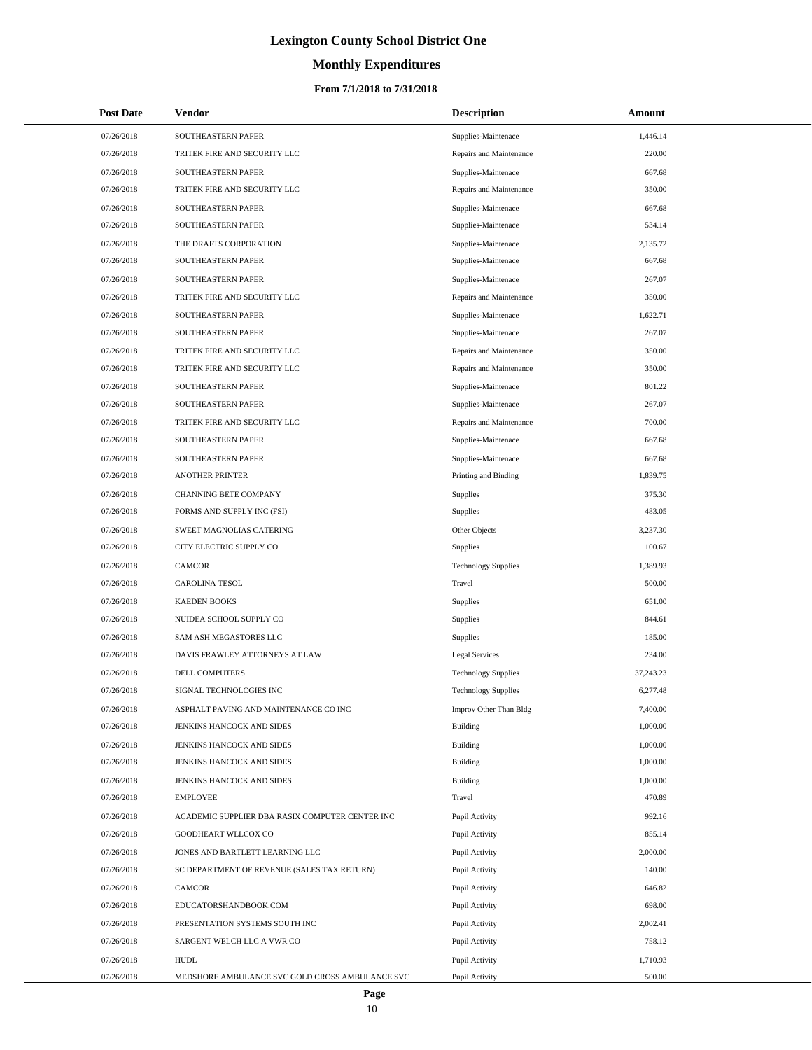# **Monthly Expenditures**

#### **From 7/1/2018 to 7/31/2018**

| <b>Post Date</b> | Vendor                                          | <b>Description</b>         | Amount    |  |
|------------------|-------------------------------------------------|----------------------------|-----------|--|
| 07/26/2018       | SOUTHEASTERN PAPER                              | Supplies-Maintenace        | 1,446.14  |  |
| 07/26/2018       | TRITEK FIRE AND SECURITY LLC                    | Repairs and Maintenance    | 220.00    |  |
| 07/26/2018       | SOUTHEASTERN PAPER                              | Supplies-Maintenace        | 667.68    |  |
| 07/26/2018       | TRITEK FIRE AND SECURITY LLC                    | Repairs and Maintenance    | 350.00    |  |
| 07/26/2018       | SOUTHEASTERN PAPER                              | Supplies-Maintenace        | 667.68    |  |
| 07/26/2018       | SOUTHEASTERN PAPER                              | Supplies-Maintenace        | 534.14    |  |
| 07/26/2018       | THE DRAFTS CORPORATION                          | Supplies-Maintenace        | 2,135.72  |  |
| 07/26/2018       | SOUTHEASTERN PAPER                              | Supplies-Maintenace        | 667.68    |  |
| 07/26/2018       | SOUTHEASTERN PAPER                              | Supplies-Maintenace        | 267.07    |  |
| 07/26/2018       | TRITEK FIRE AND SECURITY LLC                    | Repairs and Maintenance    | 350.00    |  |
| 07/26/2018       | SOUTHEASTERN PAPER                              | Supplies-Maintenace        | 1,622.71  |  |
| 07/26/2018       | SOUTHEASTERN PAPER                              | Supplies-Maintenace        | 267.07    |  |
| 07/26/2018       | TRITEK FIRE AND SECURITY LLC                    | Repairs and Maintenance    | 350.00    |  |
| 07/26/2018       | TRITEK FIRE AND SECURITY LLC                    | Repairs and Maintenance    | 350.00    |  |
| 07/26/2018       | SOUTHEASTERN PAPER                              | Supplies-Maintenace        | 801.22    |  |
| 07/26/2018       | SOUTHEASTERN PAPER                              | Supplies-Maintenace        | 267.07    |  |
| 07/26/2018       | TRITEK FIRE AND SECURITY LLC                    | Repairs and Maintenance    | 700.00    |  |
| 07/26/2018       | SOUTHEASTERN PAPER                              | Supplies-Maintenace        | 667.68    |  |
| 07/26/2018       | SOUTHEASTERN PAPER                              | Supplies-Maintenace        | 667.68    |  |
| 07/26/2018       | <b>ANOTHER PRINTER</b>                          | Printing and Binding       | 1,839.75  |  |
| 07/26/2018       | CHANNING BETE COMPANY                           | Supplies                   | 375.30    |  |
| 07/26/2018       | FORMS AND SUPPLY INC (FSI)                      | Supplies                   | 483.05    |  |
| 07/26/2018       | SWEET MAGNOLIAS CATERING                        | Other Objects              | 3,237.30  |  |
| 07/26/2018       | CITY ELECTRIC SUPPLY CO                         | <b>Supplies</b>            | 100.67    |  |
| 07/26/2018       | CAMCOR                                          | <b>Technology Supplies</b> | 1,389.93  |  |
| 07/26/2018       | CAROLINA TESOL                                  | Travel                     | 500.00    |  |
| 07/26/2018       | <b>KAEDEN BOOKS</b>                             | <b>Supplies</b>            | 651.00    |  |
| 07/26/2018       | NUIDEA SCHOOL SUPPLY CO                         | <b>Supplies</b>            | 844.61    |  |
| 07/26/2018       | SAM ASH MEGASTORES LLC                          | <b>Supplies</b>            | 185.00    |  |
| 07/26/2018       | DAVIS FRAWLEY ATTORNEYS AT LAW                  | Legal Services             | 234.00    |  |
| 07/26/2018       | DELL COMPUTERS                                  | <b>Technology Supplies</b> | 37,243.23 |  |
| 07/26/2018       | SIGNAL TECHNOLOGIES INC                         | <b>Technology Supplies</b> | 6,277.48  |  |
| 07/26/2018       | ASPHALT PAVING AND MAINTENANCE CO INC           | Improv Other Than Bldg     | 7,400.00  |  |
| 07/26/2018       | JENKINS HANCOCK AND SIDES                       | <b>Building</b>            | 1,000.00  |  |
| 07/26/2018       | JENKINS HANCOCK AND SIDES                       | <b>Building</b>            | 1,000.00  |  |
| 07/26/2018       | JENKINS HANCOCK AND SIDES                       | Building                   | 1,000.00  |  |
| 07/26/2018       | JENKINS HANCOCK AND SIDES                       | <b>Building</b>            | 1,000.00  |  |
| 07/26/2018       | <b>EMPLOYEE</b>                                 | Travel                     | 470.89    |  |
| 07/26/2018       | ACADEMIC SUPPLIER DBA RASIX COMPUTER CENTER INC | Pupil Activity             | 992.16    |  |
| 07/26/2018       | GOODHEART WLLCOX CO                             | Pupil Activity             | 855.14    |  |
| 07/26/2018       | JONES AND BARTLETT LEARNING LLC                 | Pupil Activity             | 2,000.00  |  |
| 07/26/2018       | SC DEPARTMENT OF REVENUE (SALES TAX RETURN)     | Pupil Activity             | 140.00    |  |
| 07/26/2018       | CAMCOR                                          | Pupil Activity             | 646.82    |  |
| 07/26/2018       | EDUCATORSHANDBOOK.COM                           | Pupil Activity             | 698.00    |  |
| 07/26/2018       | PRESENTATION SYSTEMS SOUTH INC                  | Pupil Activity             | 2,002.41  |  |
| 07/26/2018       | SARGENT WELCH LLC A VWR CO                      | Pupil Activity             | 758.12    |  |
| 07/26/2018       | <b>HUDL</b>                                     | Pupil Activity             | 1,710.93  |  |
| 07/26/2018       | MEDSHORE AMBULANCE SVC GOLD CROSS AMBULANCE SVC | Pupil Activity             | 500.00    |  |

 $\overline{a}$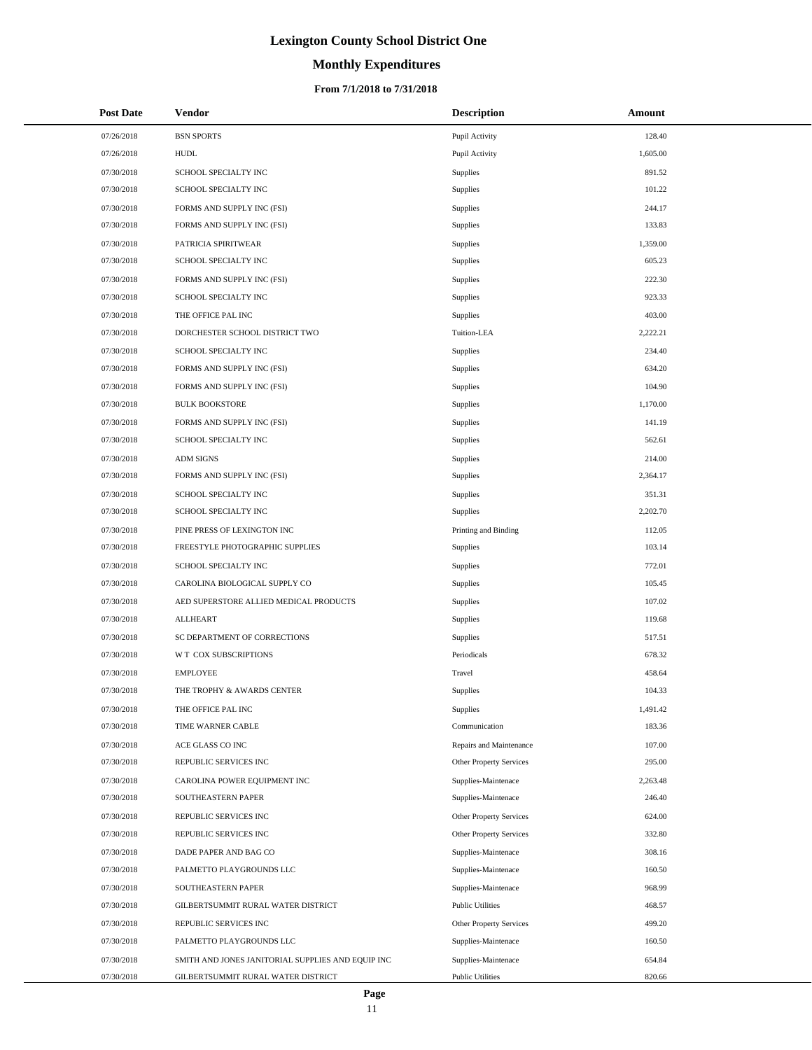# **Monthly Expenditures**

#### **From 7/1/2018 to 7/31/2018**

| <b>Post Date</b> | Vendor                                            | <b>Description</b>      | <b>Amount</b> |
|------------------|---------------------------------------------------|-------------------------|---------------|
| 07/26/2018       | <b>BSN SPORTS</b>                                 | Pupil Activity          | 128.40        |
| 07/26/2018       | <b>HUDL</b>                                       | Pupil Activity          | 1,605.00      |
| 07/30/2018       | SCHOOL SPECIALTY INC                              | Supplies                | 891.52        |
| 07/30/2018       | SCHOOL SPECIALTY INC                              | Supplies                | 101.22        |
| 07/30/2018       | FORMS AND SUPPLY INC (FSI)                        | Supplies                | 244.17        |
| 07/30/2018       | FORMS AND SUPPLY INC (FSI)                        | <b>Supplies</b>         | 133.83        |
| 07/30/2018       | PATRICIA SPIRITWEAR                               | Supplies                | 1,359.00      |
| 07/30/2018       | SCHOOL SPECIALTY INC                              | Supplies                | 605.23        |
| 07/30/2018       | FORMS AND SUPPLY INC (FSI)                        | Supplies                | 222.30        |
| 07/30/2018       | SCHOOL SPECIALTY INC                              | Supplies                | 923.33        |
| 07/30/2018       | THE OFFICE PAL INC                                | <b>Supplies</b>         | 403.00        |
| 07/30/2018       | DORCHESTER SCHOOL DISTRICT TWO                    | Tuition-LEA             | 2,222.21      |
| 07/30/2018       | SCHOOL SPECIALTY INC                              | <b>Supplies</b>         | 234.40        |
| 07/30/2018       | FORMS AND SUPPLY INC (FSI)                        | <b>Supplies</b>         | 634.20        |
| 07/30/2018       | FORMS AND SUPPLY INC (FSI)                        | Supplies                | 104.90        |
| 07/30/2018       | <b>BULK BOOKSTORE</b>                             | Supplies                | 1,170.00      |
| 07/30/2018       | FORMS AND SUPPLY INC (FSI)                        | Supplies                | 141.19        |
| 07/30/2018       | SCHOOL SPECIALTY INC                              | Supplies                | 562.61        |
| 07/30/2018       | <b>ADM SIGNS</b>                                  | Supplies                | 214.00        |
| 07/30/2018       | FORMS AND SUPPLY INC (FSI)                        | Supplies                | 2,364.17      |
| 07/30/2018       | SCHOOL SPECIALTY INC                              | <b>Supplies</b>         | 351.31        |
| 07/30/2018       | SCHOOL SPECIALTY INC                              | <b>Supplies</b>         | 2,202.70      |
| 07/30/2018       | PINE PRESS OF LEXINGTON INC                       | Printing and Binding    | 112.05        |
| 07/30/2018       | FREESTYLE PHOTOGRAPHIC SUPPLIES                   | Supplies                | 103.14        |
| 07/30/2018       | SCHOOL SPECIALTY INC                              | Supplies                | 772.01        |
| 07/30/2018       | CAROLINA BIOLOGICAL SUPPLY CO                     | Supplies                | 105.45        |
| 07/30/2018       | AED SUPERSTORE ALLIED MEDICAL PRODUCTS            | <b>Supplies</b>         | 107.02        |
| 07/30/2018       | <b>ALLHEART</b>                                   | Supplies                | 119.68        |
| 07/30/2018       | SC DEPARTMENT OF CORRECTIONS                      | Supplies                | 517.51        |
| 07/30/2018       | W T COX SUBSCRIPTIONS                             | Periodicals             | 678.32        |
| 07/30/2018       | <b>EMPLOYEE</b>                                   | Travel                  | 458.64        |
| 07/30/2018       | THE TROPHY & AWARDS CENTER                        | Supplies                | 104.33        |
| 07/30/2018       | THE OFFICE PAL INC                                | Supplies                | 1,491.42      |
| 07/30/2018       | TIME WARNER CABLE                                 | Communication           | 183.36        |
| 07/30/2018       | ACE GLASS CO INC                                  | Repairs and Maintenance | 107.00        |
| 07/30/2018       | REPUBLIC SERVICES INC                             | Other Property Services | 295.00        |
| 07/30/2018       | CAROLINA POWER EQUIPMENT INC                      | Supplies-Maintenace     | 2,263.48      |
| 07/30/2018       | SOUTHEASTERN PAPER                                | Supplies-Maintenace     | 246.40        |
| 07/30/2018       | REPUBLIC SERVICES INC                             | Other Property Services | 624.00        |
| 07/30/2018       | REPUBLIC SERVICES INC                             | Other Property Services | 332.80        |
| 07/30/2018       | DADE PAPER AND BAG CO                             | Supplies-Maintenace     | 308.16        |
| 07/30/2018       | PALMETTO PLAYGROUNDS LLC                          | Supplies-Maintenace     | 160.50        |
| 07/30/2018       | SOUTHEASTERN PAPER                                | Supplies-Maintenace     | 968.99        |
| 07/30/2018       | GILBERTSUMMIT RURAL WATER DISTRICT                | <b>Public Utilities</b> | 468.57        |
| 07/30/2018       | REPUBLIC SERVICES INC                             | Other Property Services | 499.20        |
| 07/30/2018       | PALMETTO PLAYGROUNDS LLC                          | Supplies-Maintenace     | 160.50        |
| 07/30/2018       | SMITH AND JONES JANITORIAL SUPPLIES AND EQUIP INC | Supplies-Maintenace     | 654.84        |
| 07/30/2018       | GILBERTSUMMIT RURAL WATER DISTRICT                | <b>Public Utilities</b> | 820.66        |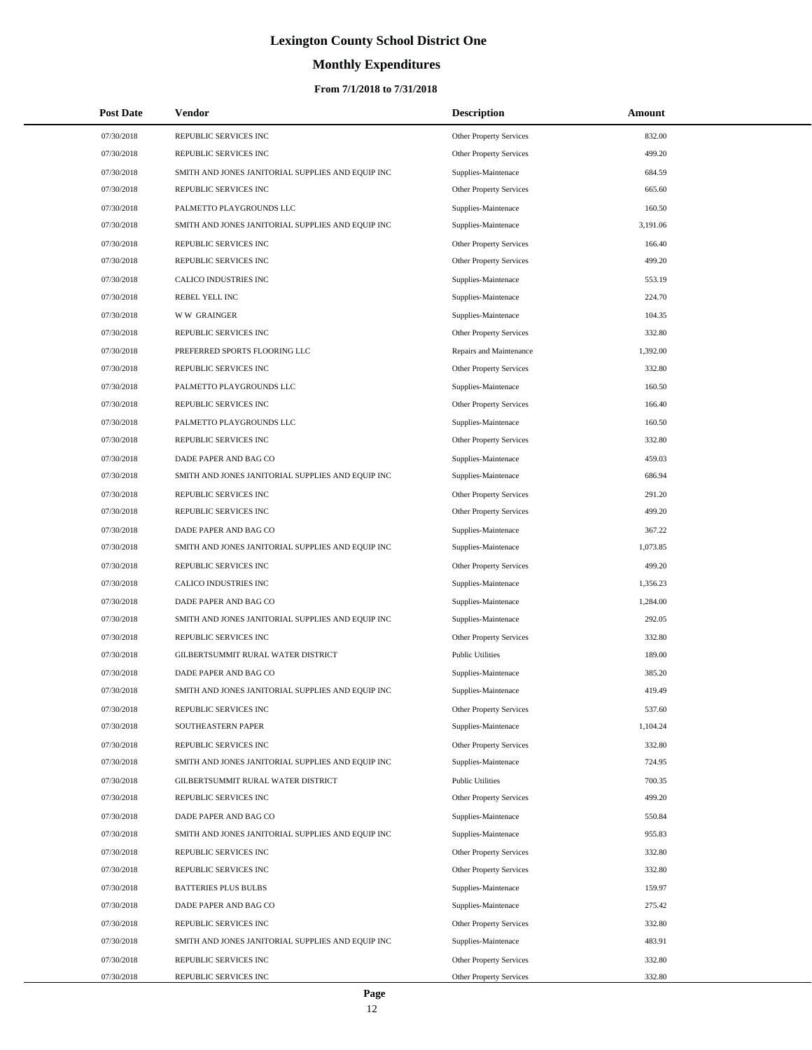# **Monthly Expenditures**

| <b>Post Date</b> | Vendor                                            | <b>Description</b>             | Amount   |
|------------------|---------------------------------------------------|--------------------------------|----------|
| 07/30/2018       | REPUBLIC SERVICES INC                             | Other Property Services        | 832.00   |
| 07/30/2018       | REPUBLIC SERVICES INC                             | Other Property Services        | 499.20   |
| 07/30/2018       | SMITH AND JONES JANITORIAL SUPPLIES AND EQUIP INC | Supplies-Maintenace            | 684.59   |
| 07/30/2018       | REPUBLIC SERVICES INC                             | Other Property Services        | 665.60   |
| 07/30/2018       | PALMETTO PLAYGROUNDS LLC                          | Supplies-Maintenace            | 160.50   |
| 07/30/2018       | SMITH AND JONES JANITORIAL SUPPLIES AND EQUIP INC | Supplies-Maintenace            | 3,191.06 |
| 07/30/2018       | REPUBLIC SERVICES INC                             | <b>Other Property Services</b> | 166.40   |
| 07/30/2018       | REPUBLIC SERVICES INC                             | Other Property Services        | 499.20   |
| 07/30/2018       | CALICO INDUSTRIES INC                             | Supplies-Maintenace            | 553.19   |
| 07/30/2018       | REBEL YELL INC                                    | Supplies-Maintenace            | 224.70   |
| 07/30/2018       | <b>WW GRAINGER</b>                                | Supplies-Maintenace            | 104.35   |
| 07/30/2018       | REPUBLIC SERVICES INC                             | Other Property Services        | 332.80   |
| 07/30/2018       | PREFERRED SPORTS FLOORING LLC                     | Repairs and Maintenance        | 1,392.00 |
| 07/30/2018       | REPUBLIC SERVICES INC                             | Other Property Services        | 332.80   |
| 07/30/2018       | PALMETTO PLAYGROUNDS LLC                          | Supplies-Maintenace            | 160.50   |
| 07/30/2018       | REPUBLIC SERVICES INC                             | Other Property Services        | 166.40   |
| 07/30/2018       | PALMETTO PLAYGROUNDS LLC                          | Supplies-Maintenace            | 160.50   |
| 07/30/2018       | REPUBLIC SERVICES INC                             | <b>Other Property Services</b> | 332.80   |
| 07/30/2018       | DADE PAPER AND BAG CO                             | Supplies-Maintenace            | 459.03   |
| 07/30/2018       | SMITH AND JONES JANITORIAL SUPPLIES AND EQUIP INC | Supplies-Maintenace            | 686.94   |
| 07/30/2018       | REPUBLIC SERVICES INC                             | Other Property Services        | 291.20   |
| 07/30/2018       | REPUBLIC SERVICES INC                             | Other Property Services        | 499.20   |
| 07/30/2018       | DADE PAPER AND BAG CO                             | Supplies-Maintenace            | 367.22   |
| 07/30/2018       | SMITH AND JONES JANITORIAL SUPPLIES AND EQUIP INC | Supplies-Maintenace            | 1,073.85 |
| 07/30/2018       | REPUBLIC SERVICES INC                             | Other Property Services        | 499.20   |
| 07/30/2018       | CALICO INDUSTRIES INC                             | Supplies-Maintenace            | 1,356.23 |
| 07/30/2018       | DADE PAPER AND BAG CO                             | Supplies-Maintenace            | 1,284.00 |
| 07/30/2018       | SMITH AND JONES JANITORIAL SUPPLIES AND EQUIP INC | Supplies-Maintenace            | 292.05   |
| 07/30/2018       | REPUBLIC SERVICES INC                             | Other Property Services        | 332.80   |
| 07/30/2018       | GILBERTSUMMIT RURAL WATER DISTRICT                | <b>Public Utilities</b>        | 189.00   |
| 07/30/2018       | DADE PAPER AND BAG CO                             | Supplies-Maintenace            | 385.20   |
| 07/30/2018       | SMITH AND JONES JANITORIAL SUPPLIES AND EQUIP INC | Supplies-Maintenace            | 419.49   |
| 07/30/2018       | REPUBLIC SERVICES INC                             | <b>Other Property Services</b> | 537.60   |
| 07/30/2018       | SOUTHEASTERN PAPER                                | Supplies-Maintenace            | 1,104.24 |
| 07/30/2018       | REPUBLIC SERVICES INC                             | Other Property Services        | 332.80   |
| 07/30/2018       | SMITH AND JONES JANITORIAL SUPPLIES AND EQUIP INC | Supplies-Maintenace            | 724.95   |
| 07/30/2018       | GILBERTSUMMIT RURAL WATER DISTRICT                | <b>Public Utilities</b>        | 700.35   |
| 07/30/2018       | REPUBLIC SERVICES INC                             | Other Property Services        | 499.20   |
| 07/30/2018       | DADE PAPER AND BAG CO                             | Supplies-Maintenace            | 550.84   |
| 07/30/2018       | SMITH AND JONES JANITORIAL SUPPLIES AND EQUIP INC | Supplies-Maintenace            | 955.83   |
| 07/30/2018       | REPUBLIC SERVICES INC                             | Other Property Services        | 332.80   |
| 07/30/2018       | REPUBLIC SERVICES INC                             | Other Property Services        | 332.80   |
| 07/30/2018       | <b>BATTERIES PLUS BULBS</b>                       | Supplies-Maintenace            | 159.97   |
| 07/30/2018       | DADE PAPER AND BAG CO                             | Supplies-Maintenace            | 275.42   |
| 07/30/2018       | REPUBLIC SERVICES INC                             | Other Property Services        | 332.80   |
| 07/30/2018       | SMITH AND JONES JANITORIAL SUPPLIES AND EQUIP INC | Supplies-Maintenace            | 483.91   |
| 07/30/2018       | REPUBLIC SERVICES INC                             | Other Property Services        | 332.80   |
| 07/30/2018       | REPUBLIC SERVICES INC                             | <b>Other Property Services</b> | 332.80   |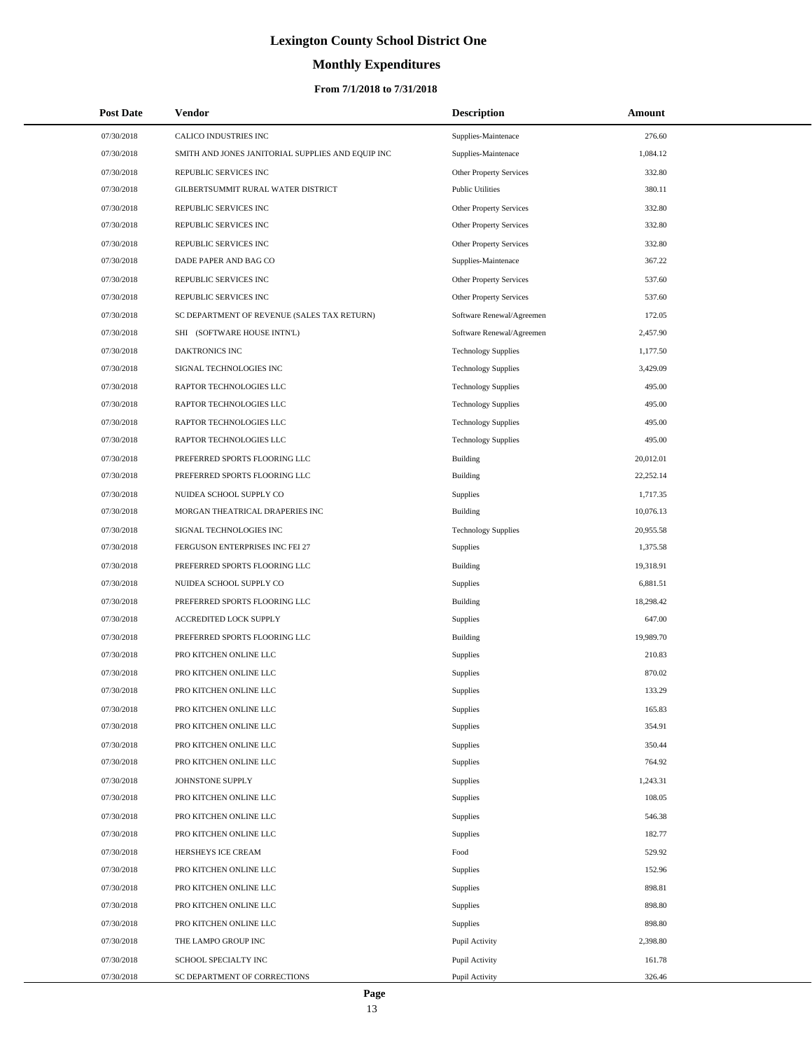# **Monthly Expenditures**

#### **From 7/1/2018 to 7/31/2018**

| <b>Post Date</b> | Vendor                                            | <b>Description</b>         | <b>Amount</b> |
|------------------|---------------------------------------------------|----------------------------|---------------|
| 07/30/2018       | CALICO INDUSTRIES INC                             | Supplies-Maintenace        | 276.60        |
| 07/30/2018       | SMITH AND JONES JANITORIAL SUPPLIES AND EQUIP INC | Supplies-Maintenace        | 1,084.12      |
| 07/30/2018       | REPUBLIC SERVICES INC                             | Other Property Services    | 332.80        |
| 07/30/2018       | GILBERTSUMMIT RURAL WATER DISTRICT                | <b>Public Utilities</b>    | 380.11        |
| 07/30/2018       | REPUBLIC SERVICES INC                             | Other Property Services    | 332.80        |
| 07/30/2018       | REPUBLIC SERVICES INC                             | Other Property Services    | 332.80        |
| 07/30/2018       | REPUBLIC SERVICES INC                             | Other Property Services    | 332.80        |
| 07/30/2018       | DADE PAPER AND BAG CO                             | Supplies-Maintenace        | 367.22        |
| 07/30/2018       | REPUBLIC SERVICES INC                             | Other Property Services    | 537.60        |
| 07/30/2018       | REPUBLIC SERVICES INC                             | Other Property Services    | 537.60        |
| 07/30/2018       | SC DEPARTMENT OF REVENUE (SALES TAX RETURN)       | Software Renewal/Agreemen  | 172.05        |
| 07/30/2018       | SHI (SOFTWARE HOUSE INTN'L)                       | Software Renewal/Agreemen  | 2,457.90      |
| 07/30/2018       | DAKTRONICS INC                                    | <b>Technology Supplies</b> | 1,177.50      |
| 07/30/2018       | SIGNAL TECHNOLOGIES INC                           | <b>Technology Supplies</b> | 3,429.09      |
| 07/30/2018       | RAPTOR TECHNOLOGIES LLC                           | <b>Technology Supplies</b> | 495.00        |
| 07/30/2018       | RAPTOR TECHNOLOGIES LLC                           | <b>Technology Supplies</b> | 495.00        |
| 07/30/2018       | RAPTOR TECHNOLOGIES LLC                           | <b>Technology Supplies</b> | 495.00        |
| 07/30/2018       | RAPTOR TECHNOLOGIES LLC                           | <b>Technology Supplies</b> | 495.00        |
| 07/30/2018       | PREFERRED SPORTS FLOORING LLC                     | <b>Building</b>            | 20,012.01     |
| 07/30/2018       | PREFERRED SPORTS FLOORING LLC                     | <b>Building</b>            | 22,252.14     |
| 07/30/2018       | NUIDEA SCHOOL SUPPLY CO                           | Supplies                   | 1,717.35      |
| 07/30/2018       | MORGAN THEATRICAL DRAPERIES INC                   | <b>Building</b>            | 10,076.13     |
| 07/30/2018       | SIGNAL TECHNOLOGIES INC                           | <b>Technology Supplies</b> | 20,955.58     |
| 07/30/2018       | FERGUSON ENTERPRISES INC FEI 27                   | Supplies                   | 1,375.58      |
| 07/30/2018       | PREFERRED SPORTS FLOORING LLC                     | <b>Building</b>            | 19,318.91     |
| 07/30/2018       | NUIDEA SCHOOL SUPPLY CO                           | Supplies                   | 6,881.51      |
| 07/30/2018       | PREFERRED SPORTS FLOORING LLC                     | <b>Building</b>            | 18,298.42     |
| 07/30/2018       | ACCREDITED LOCK SUPPLY                            | Supplies                   | 647.00        |
| 07/30/2018       | PREFERRED SPORTS FLOORING LLC                     | Building                   | 19,989.70     |
| 07/30/2018       | PRO KITCHEN ONLINE LLC                            | Supplies                   | 210.83        |
| 07/30/2018       | PRO KITCHEN ONLINE LLC                            | <b>Supplies</b>            | 870.02        |
| 07/30/2018       | PRO KITCHEN ONLINE LLC                            | <b>Supplies</b>            | 133.29        |
| 07/30/2018       | PRO KITCHEN ONLINE LLC                            | Supplies                   | 165.83        |
| 07/30/2018       | PRO KITCHEN ONLINE LLC                            | Supplies                   | 354.91        |
| 07/30/2018       | PRO KITCHEN ONLINE LLC                            | Supplies                   | 350.44        |
| 07/30/2018       | PRO KITCHEN ONLINE LLC                            | Supplies                   | 764.92        |
| 07/30/2018       | JOHNSTONE SUPPLY                                  | Supplies                   | 1,243.31      |
| 07/30/2018       | PRO KITCHEN ONLINE LLC                            | Supplies                   | 108.05        |
| 07/30/2018       | PRO KITCHEN ONLINE LLC                            | Supplies                   | 546.38        |
| 07/30/2018       | PRO KITCHEN ONLINE LLC                            | Supplies                   | 182.77        |
| 07/30/2018       | HERSHEYS ICE CREAM                                | Food                       | 529.92        |
| 07/30/2018       | PRO KITCHEN ONLINE LLC                            | Supplies                   | 152.96        |
| 07/30/2018       | PRO KITCHEN ONLINE LLC                            | Supplies                   | 898.81        |
| 07/30/2018       | PRO KITCHEN ONLINE LLC                            | Supplies                   | 898.80        |
| 07/30/2018       | PRO KITCHEN ONLINE LLC                            | Supplies                   | 898.80        |
| 07/30/2018       | THE LAMPO GROUP INC                               | Pupil Activity             | 2,398.80      |
| 07/30/2018       | SCHOOL SPECIALTY INC                              | Pupil Activity             | 161.78        |
| 07/30/2018       | SC DEPARTMENT OF CORRECTIONS                      | Pupil Activity             | 326.46        |

L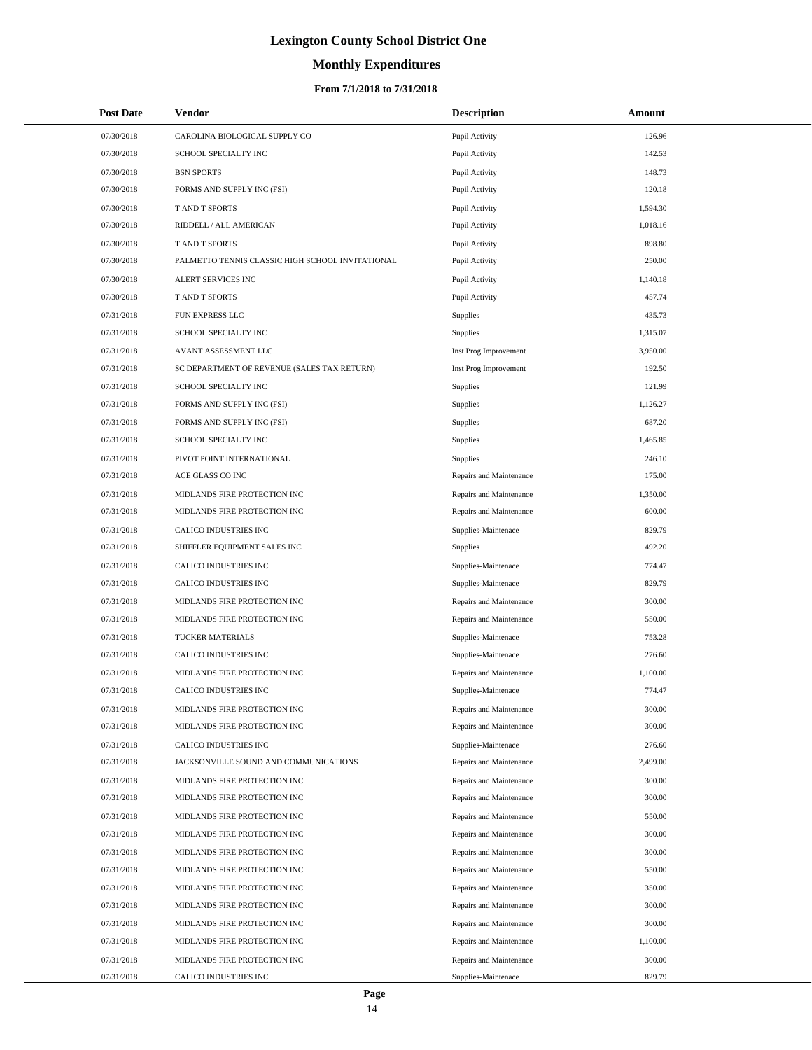# **Monthly Expenditures**

#### **From 7/1/2018 to 7/31/2018**

| <b>Post Date</b> | Vendor                                           | <b>Description</b>      | Amount   |
|------------------|--------------------------------------------------|-------------------------|----------|
| 07/30/2018       | CAROLINA BIOLOGICAL SUPPLY CO                    | Pupil Activity          | 126.96   |
| 07/30/2018       | SCHOOL SPECIALTY INC                             | Pupil Activity          | 142.53   |
| 07/30/2018       | <b>BSN SPORTS</b>                                | Pupil Activity          | 148.73   |
| 07/30/2018       | FORMS AND SUPPLY INC (FSI)                       | Pupil Activity          | 120.18   |
| 07/30/2018       | T AND T SPORTS                                   | Pupil Activity          | 1,594.30 |
| 07/30/2018       | RIDDELL / ALL AMERICAN                           | Pupil Activity          | 1,018.16 |
| 07/30/2018       | T AND T SPORTS                                   | Pupil Activity          | 898.80   |
| 07/30/2018       | PALMETTO TENNIS CLASSIC HIGH SCHOOL INVITATIONAL | Pupil Activity          | 250.00   |
| 07/30/2018       | ALERT SERVICES INC                               | Pupil Activity          | 1,140.18 |
| 07/30/2018       | T AND T SPORTS                                   | Pupil Activity          | 457.74   |
| 07/31/2018       | FUN EXPRESS LLC                                  | Supplies                | 435.73   |
| 07/31/2018       | SCHOOL SPECIALTY INC                             | Supplies                | 1,315.07 |
| 07/31/2018       | AVANT ASSESSMENT LLC                             | Inst Prog Improvement   | 3,950.00 |
| 07/31/2018       | SC DEPARTMENT OF REVENUE (SALES TAX RETURN)      | Inst Prog Improvement   | 192.50   |
| 07/31/2018       | SCHOOL SPECIALTY INC                             | Supplies                | 121.99   |
| 07/31/2018       | FORMS AND SUPPLY INC (FSI)                       | Supplies                | 1,126.27 |
| 07/31/2018       | FORMS AND SUPPLY INC (FSI)                       | Supplies                | 687.20   |
| 07/31/2018       | SCHOOL SPECIALTY INC                             | Supplies                | 1,465.85 |
| 07/31/2018       | PIVOT POINT INTERNATIONAL                        | Supplies                | 246.10   |
| 07/31/2018       | ACE GLASS CO INC                                 | Repairs and Maintenance | 175.00   |
| 07/31/2018       | MIDLANDS FIRE PROTECTION INC                     | Repairs and Maintenance | 1,350.00 |
| 07/31/2018       | MIDLANDS FIRE PROTECTION INC                     | Repairs and Maintenance | 600.00   |
| 07/31/2018       | CALICO INDUSTRIES INC                            | Supplies-Maintenace     | 829.79   |
| 07/31/2018       | SHIFFLER EQUIPMENT SALES INC                     | Supplies                | 492.20   |
| 07/31/2018       | CALICO INDUSTRIES INC                            | Supplies-Maintenace     | 774.47   |
| 07/31/2018       | CALICO INDUSTRIES INC                            | Supplies-Maintenace     | 829.79   |
| 07/31/2018       | MIDLANDS FIRE PROTECTION INC                     | Repairs and Maintenance | 300.00   |
| 07/31/2018       | MIDLANDS FIRE PROTECTION INC                     | Repairs and Maintenance | 550.00   |
| 07/31/2018       | TUCKER MATERIALS                                 | Supplies-Maintenace     | 753.28   |
| 07/31/2018       | CALICO INDUSTRIES INC                            | Supplies-Maintenace     | 276.60   |
| 07/31/2018       | MIDLANDS FIRE PROTECTION INC                     | Repairs and Maintenance | 1,100.00 |
| 07/31/2018       | CALICO INDUSTRIES INC                            | Supplies-Maintenace     | 774.47   |
| 07/31/2018       | MIDLANDS FIRE PROTECTION INC                     | Repairs and Maintenance | 300.00   |
| 07/31/2018       | MIDLANDS FIRE PROTECTION INC                     | Repairs and Maintenance | 300.00   |
| 07/31/2018       | CALICO INDUSTRIES INC                            | Supplies-Maintenace     | 276.60   |
| 07/31/2018       | JACKSONVILLE SOUND AND COMMUNICATIONS            | Repairs and Maintenance | 2,499.00 |
| 07/31/2018       | MIDLANDS FIRE PROTECTION INC                     | Repairs and Maintenance | 300.00   |
| 07/31/2018       | MIDLANDS FIRE PROTECTION INC                     | Repairs and Maintenance | 300.00   |
| 07/31/2018       | MIDLANDS FIRE PROTECTION INC                     | Repairs and Maintenance | 550.00   |
| 07/31/2018       | MIDLANDS FIRE PROTECTION INC                     | Repairs and Maintenance | 300.00   |
| 07/31/2018       | MIDLANDS FIRE PROTECTION INC                     | Repairs and Maintenance | 300.00   |
| 07/31/2018       | MIDLANDS FIRE PROTECTION INC                     | Repairs and Maintenance | 550.00   |
| 07/31/2018       | MIDLANDS FIRE PROTECTION INC                     | Repairs and Maintenance | 350.00   |
| 07/31/2018       | MIDLANDS FIRE PROTECTION INC                     | Repairs and Maintenance | 300.00   |
| 07/31/2018       | MIDLANDS FIRE PROTECTION INC                     | Repairs and Maintenance | 300.00   |
| 07/31/2018       | MIDLANDS FIRE PROTECTION INC                     | Repairs and Maintenance | 1,100.00 |
| 07/31/2018       | MIDLANDS FIRE PROTECTION INC                     | Repairs and Maintenance | 300.00   |
| 07/31/2018       | CALICO INDUSTRIES INC                            | Supplies-Maintenace     | 829.79   |

÷.